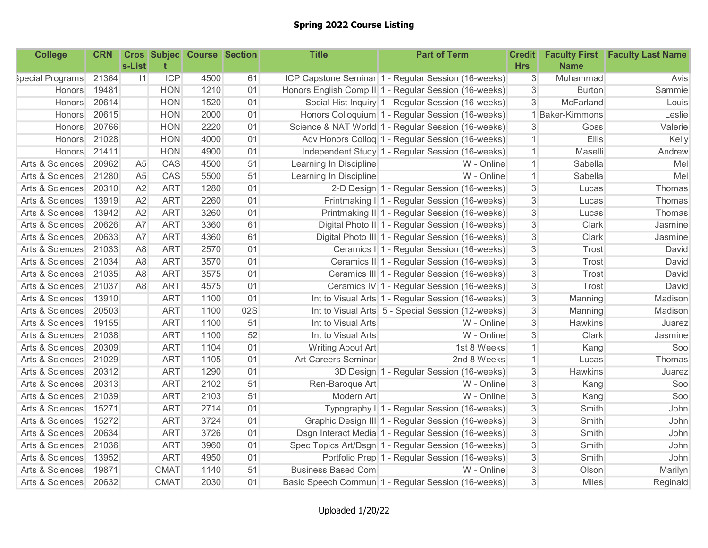## Spring 2022 Course Listing

| <b>College</b>   | <b>CRN</b> | s-List         |             | <b>Cros Subjec Course Section</b> |     | <b>Title</b>              | <b>Part of Term</b>                                   | <b>Credit</b><br><b>Hrs</b> | <b>Name</b>     | <b>Faculty First Faculty Last Name</b> |
|------------------|------------|----------------|-------------|-----------------------------------|-----|---------------------------|-------------------------------------------------------|-----------------------------|-----------------|----------------------------------------|
| Special Programs | 21364      | 1              | <b>ICP</b>  | 4500                              | 61  |                           | ICP Capstone Seminar 1 - Regular Session (16-weeks)   | $\overline{3}$              | Muhammad        | Avis                                   |
| <b>Honors</b>    | 19481      |                | <b>HON</b>  | 1210                              | 01  |                           | Honors English Comp II 1 - Regular Session (16-weeks) | $\overline{3}$              | <b>Burton</b>   | Sammie                                 |
| Honors           | 20614      |                | <b>HON</b>  | 1520                              | 01  |                           | Social Hist Inquiry 1 - Regular Session (16-weeks)    | $\overline{3}$              | McFarland       | Louis                                  |
| Honors           | 20615      |                | <b>HON</b>  | 2000                              | 01  |                           | Honors Colloquium 1 - Regular Session (16-weeks)      |                             | 1 Baker-Kimmons | Leslie                                 |
| Honors           | 20766      |                | <b>HON</b>  | 2220                              | 01  |                           | Science & NAT World 1 - Regular Session (16-weeks)    | 3                           | Goss            | Valerie                                |
| Honors           | 21028      |                | <b>HON</b>  | 4000                              | 01  |                           | Adv Honors Colloq 1 - Regular Session (16-weeks)      | 1                           | Ellis           | Kelly                                  |
| Honors           | 21411      |                | <b>HON</b>  | 4900                              | 01  |                           | Independent Study 1 - Regular Session (16-weeks)      | $\mathbf{1}$                | Maselli         | Andrew                                 |
| Arts & Sciences  | 20962      | A <sub>5</sub> | CAS         | 4500                              | 51  | Learning In Discipline    | W - Online                                            | 1                           | Sabella         | Mel                                    |
| Arts & Sciences  | 21280      | A <sub>5</sub> | CAS         | 5500                              | 51  | Learning In Discipline    | W - Online                                            | $\mathbf{1}$                | Sabella         | Mel                                    |
| Arts & Sciences  | 20310      | A2             | <b>ART</b>  | 1280                              | 01  |                           | 2-D Design 1 - Regular Session (16-weeks)             | 3                           | Lucas           | Thomas                                 |
| Arts & Sciences  | 13919      | A2             | <b>ART</b>  | 2260                              | 01  |                           | Printmaking I 1 - Regular Session (16-weeks)          | 3                           | Lucas           | Thomas                                 |
| Arts & Sciences  | 13942      | A2             | <b>ART</b>  | 3260                              | 01  |                           | Printmaking II 1 - Regular Session (16-weeks)         | $\overline{3}$              | Lucas           | Thomas                                 |
| Arts & Sciences  | 20626      | A7             | <b>ART</b>  | 3360                              | 61  |                           | Digital Photo II   1 - Regular Session (16-weeks)     | 3                           | <b>Clark</b>    | Jasmine                                |
| Arts & Sciences  | 20633      | A7             | <b>ART</b>  | 4360                              | 61  |                           | Digital Photo III 1 - Regular Session (16-weeks)      | $\mathfrak{S}$              | Clark           | Jasmine                                |
| Arts & Sciences  | 21033      | A <sub>8</sub> | <b>ART</b>  | 2570                              | 01  |                           | Ceramics I 1 - Regular Session (16-weeks)             | $\mathfrak{S}$              | Trost           | David                                  |
| Arts & Sciences  | 21034      | A <sub>8</sub> | <b>ART</b>  | 3570                              | 01  |                           | Ceramics II 1 - Regular Session (16-weeks)            | $\overline{3}$              | Trost           | David                                  |
| Arts & Sciences  | 21035      | A <sub>8</sub> | <b>ART</b>  | 3575                              | 01  |                           | Ceramics III 1 - Regular Session (16-weeks)           | $\mathbf{3}$                | Trost           | David                                  |
| Arts & Sciences  | 21037      | A <sub>8</sub> | <b>ART</b>  | 4575                              | 01  |                           | Ceramics IV 1 - Regular Session (16-weeks)            | $\overline{3}$              | Trost           | David                                  |
| Arts & Sciences  | 13910      |                | <b>ART</b>  | 1100                              | 01  |                           | Int to Visual Arts 1 - Regular Session (16-weeks)     | 3                           | Manning         | Madison                                |
| Arts & Sciences  | 20503      |                | <b>ART</b>  | 1100                              | 02S |                           | Int to Visual Arts 5 - Special Session (12-weeks)     | 3                           | Manning         | Madison                                |
| Arts & Sciences  | 19155      |                | <b>ART</b>  | 1100                              | 51  | Int to Visual Arts        | W - Online                                            | 3                           | <b>Hawkins</b>  | Juarez                                 |
| Arts & Sciences  | 21038      |                | <b>ART</b>  | 1100                              | 52  | Int to Visual Arts        | W - Online                                            | 3                           | <b>Clark</b>    | Jasmine                                |
| Arts & Sciences  | 20309      |                | <b>ART</b>  | 1104                              | 01  | Writing About Art         | 1st 8 Weeks                                           | 1                           | Kang            | Soo                                    |
| Arts & Sciences  | 21029      |                | <b>ART</b>  | 1105                              | 01  | Art Careers Seminar       | 2nd 8 Weeks                                           | $\mathbf{1}$                | Lucas           | Thomas                                 |
| Arts & Sciences  | 20312      |                | <b>ART</b>  | 1290                              | 01  |                           | 3D Design 1 - Regular Session (16-weeks)              | 3                           | Hawkins         | Juarez                                 |
| Arts & Sciences  | 20313      |                | <b>ART</b>  | 2102                              | 51  | Ren-Baroque Art           | W - Online                                            | 3                           | Kang            | Soo                                    |
| Arts & Sciences  | 21039      |                | <b>ART</b>  | 2103                              | 51  | Modern Art                | W - Online                                            | $\overline{3}$              | Kang            | Soo                                    |
| Arts & Sciences  | 15271      |                | <b>ART</b>  | 2714                              | 01  |                           | Typography I 1 - Regular Session (16-weeks)           | 3                           | Smith           | John                                   |
| Arts & Sciences  | 15272      |                | <b>ART</b>  | 3724                              | 01  |                           | Graphic Design III 1 - Regular Session (16-weeks)     | $\overline{3}$              | <b>Smith</b>    | John                                   |
| Arts & Sciences  | 20634      |                | <b>ART</b>  | 3726                              | 01  |                           | Dsgn Interact Media 1 - Regular Session (16-weeks)    | 3                           | Smith           | John                                   |
| Arts & Sciences  | 21036      |                | <b>ART</b>  | 3960                              | 01  |                           | Spec Topics Art/Dsgn 1 - Regular Session (16-weeks)   | 3                           | Smith           | John                                   |
| Arts & Sciences  | 13952      |                | <b>ART</b>  | 4950                              | 01  |                           | Portfolio Prep 1 - Regular Session (16-weeks)         | 3                           | Smith           | John                                   |
| Arts & Sciences  | 19871      |                | <b>CMAT</b> | 1140                              | 51  | <b>Business Based Com</b> | W - Online                                            | $\mathbf{3}$                | Olson           | Marilyn                                |
| Arts & Sciences  | 20632      |                | <b>CMAT</b> | 2030                              | 01  |                           | Basic Speech Commun 1 - Regular Session (16-weeks)    | $\overline{3}$              | <b>Miles</b>    | Reginald                               |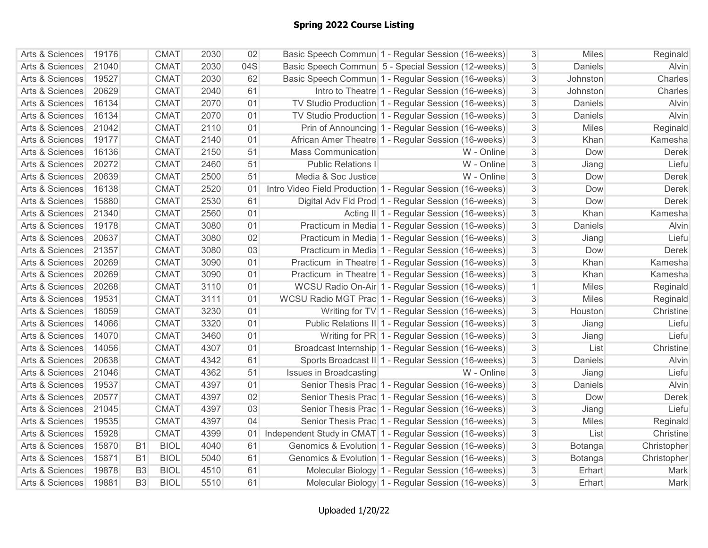| Arts & Sciences | 19176 |           | <b>CMAT</b> | 2030 | 02  | Basic Speech Commun 1 - Regular Session (16-weeks)          | 3 <sup>1</sup> | Miles        | Reginald     |
|-----------------|-------|-----------|-------------|------|-----|-------------------------------------------------------------|----------------|--------------|--------------|
| Arts & Sciences | 21040 |           | <b>CMAT</b> | 2030 | 04S | Basic Speech Commun 5 - Special Session (12-weeks)          | $\overline{3}$ | Daniels      | <b>Alvin</b> |
| Arts & Sciences | 19527 |           | <b>CMAT</b> | 2030 | 62  | Basic Speech Commun 1 - Regular Session (16-weeks)          | 3 <sup>1</sup> | Johnston     | Charles      |
| Arts & Sciences | 20629 |           | <b>CMAT</b> | 2040 | 61  | Intro to Theatre 1 - Regular Session (16-weeks)             | $\mathfrak{S}$ | Johnston     | Charles      |
| Arts & Sciences | 16134 |           | <b>CMAT</b> | 2070 | 01  | TV Studio Production 1 - Regular Session (16-weeks)         | $\mathbf{3}$   | Daniels      | Alvin        |
| Arts & Sciences | 16134 |           | <b>CMAT</b> | 2070 | 01  | TV Studio Production 1 - Regular Session (16-weeks)         | $\overline{3}$ | Daniels      | Alvin        |
| Arts & Sciences | 21042 |           | <b>CMAT</b> | 2110 | 01  | Prin of Announcing 1 - Regular Session (16-weeks)           | 3              | <b>Miles</b> | Reginald     |
| Arts & Sciences | 19177 |           | <b>CMAT</b> | 2140 | 01  | African Amer Theatre 1 - Regular Session (16-weeks)         | 3 <sup>1</sup> | Khan         | Kamesha      |
| Arts & Sciences | 16136 |           | <b>CMAT</b> | 2150 | 51  | <b>Mass Communication</b><br>W - Online                     | $\overline{3}$ | Dow          | Derek        |
| Arts & Sciences | 20272 |           | <b>CMAT</b> | 2460 | 51  | <b>Public Relations I</b><br>W - Online                     | $\overline{3}$ | Jiang        | Liefu        |
| Arts & Sciences | 20639 |           | <b>CMAT</b> | 2500 | 51  | W - Online<br>Media & Soc Justice                           | $\mathbf{3}$   | <b>Dow</b>   | <b>Derek</b> |
| Arts & Sciences | 16138 |           | <b>CMAT</b> | 2520 | 01  | Intro Video Field Production 1 - Regular Session (16-weeks) | 3              | Dow          | Derek        |
| Arts & Sciences | 15880 |           | <b>CMAT</b> | 2530 | 61  | Digital Adv Fld Prod 1 - Regular Session (16-weeks)         | $\overline{3}$ | Dow          | Derek        |
| Arts & Sciences | 21340 |           | <b>CMAT</b> | 2560 | 01  | Acting II 1 - Regular Session (16-weeks)                    | $\sqrt{3}$     | Khan         | Kamesha      |
| Arts & Sciences | 19178 |           | <b>CMAT</b> | 3080 | 01  | Practicum in Media 1 - Regular Session (16-weeks)           | $\overline{3}$ | Daniels      | Alvin        |
| Arts & Sciences | 20637 |           | <b>CMAT</b> | 3080 | 02  | Practicum in Media 1 - Regular Session (16-weeks)           | $\overline{3}$ | Jiang        | Liefu        |
| Arts & Sciences | 21357 |           | <b>CMAT</b> | 3080 | 03  | Practicum in Media 1 - Regular Session (16-weeks)           | $\overline{3}$ | Dow          | Derek        |
| Arts & Sciences | 20269 |           | <b>CMAT</b> | 3090 | 01  | Practicum in Theatre 1 - Regular Session (16-weeks)         | $\overline{3}$ | Khan         | Kamesha      |
| Arts & Sciences | 20269 |           | <b>CMAT</b> | 3090 | 01  | Practicum in Theatre 1 - Regular Session (16-weeks)         | $\mathbf{3}$   | Khan         | Kamesha      |
| Arts & Sciences | 20268 |           | <b>CMAT</b> | 3110 | 01  | WCSU Radio On-Air 1 - Regular Session (16-weeks)            | $\mathbf{1}$   | Miles        | Reginald     |
| Arts & Sciences | 19531 |           | <b>CMAT</b> | 3111 | 01  | WCSU Radio MGT Prac 1 - Regular Session (16-weeks)          | $\mathbf{3}$   | <b>Miles</b> | Reginald     |
| Arts & Sciences | 18059 |           | <b>CMAT</b> | 3230 | 01  | Writing for TV 1 - Regular Session (16-weeks)               | $\overline{3}$ | Houston      | Christine    |
| Arts & Sciences | 14066 |           | <b>CMAT</b> | 3320 | 01  | Public Relations II 1 - Regular Session (16-weeks)          | $\mathbf{3}$   | Jiang        | Liefu        |
| Arts & Sciences | 14070 |           | <b>CMAT</b> | 3460 | 01  | Writing for PR 1 - Regular Session (16-weeks)               | $\mathbf{3}$   | Jiang        | Liefu        |
| Arts & Sciences | 14056 |           | <b>CMAT</b> | 4307 | 01  | Broadcast Internship 1 - Regular Session (16-weeks)         | $\overline{3}$ | List         | Christine    |
| Arts & Sciences | 20638 |           | <b>CMAT</b> | 4342 | 61  | Sports Broadcast II   1 - Regular Session (16-weeks)        | $\overline{3}$ | Daniels      | Alvin        |
| Arts & Sciences | 21046 |           | <b>CMAT</b> | 4362 | 51  | <b>Issues in Broadcasting</b><br>W - Online                 | $\overline{3}$ | Jiang        | Liefu        |
| Arts & Sciences | 19537 |           | <b>CMAT</b> | 4397 | 01  | Senior Thesis Prac 1 - Regular Session (16-weeks)           | $\overline{3}$ | Daniels      | Alvin        |
| Arts & Sciences | 20577 |           | <b>CMAT</b> | 4397 | 02  | Senior Thesis Prac 1 - Regular Session (16-weeks)           | 3 <sup>1</sup> | <b>Dow</b>   | Derek        |
| Arts & Sciences | 21045 |           | <b>CMAT</b> | 4397 | 03  | Senior Thesis Prac 1 - Regular Session (16-weeks)           | $\overline{3}$ | Jiang        | Liefu        |
| Arts & Sciences | 19535 |           | <b>CMAT</b> | 4397 | 04  | Senior Thesis Prac 1 - Regular Session (16-weeks)           | $\mathbf{3}$   | Miles        | Reginald     |
| Arts & Sciences | 15928 |           | <b>CMAT</b> | 4399 | 01  | Independent Study in CMAT 1 - Regular Session (16-weeks)    | $\mathfrak{S}$ | List         | Christine    |
| Arts & Sciences | 15870 | <b>B1</b> | <b>BIOL</b> | 4040 | 61  | Genomics & Evolution 1 - Regular Session (16-weeks)         | 3              | Botanga      | Christopher  |
| Arts & Sciences | 15871 | <b>B1</b> | <b>BIOL</b> | 5040 | 61  | Genomics & Evolution 1 - Regular Session (16-weeks)         | 3              | Botanga      | Christopher  |
| Arts & Sciences | 19878 | <b>B3</b> | <b>BIOL</b> | 4510 | 61  | Molecular Biology 1 - Regular Session (16-weeks)            | $\overline{3}$ | Erhart       | <b>Mark</b>  |
| Arts & Sciences | 19881 | <b>B3</b> | <b>BIOL</b> | 5510 | 61  | Molecular Biology 1 - Regular Session (16-weeks)            | $\overline{3}$ | Erhart       | Mark         |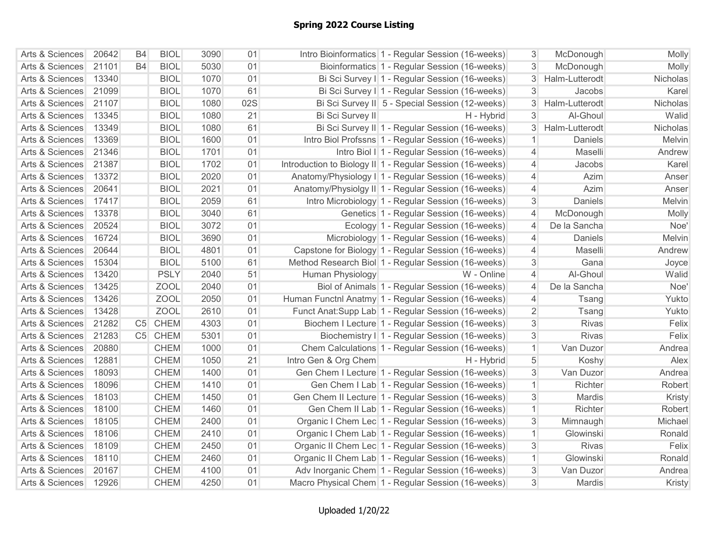| Arts & Sciences | 20642 | <b>B4</b> | <b>BIOL</b> | 3090 | 01  | Intro Bioinformatics 1 - Regular Session (16-weeks)       | 3              | McDonough      | Molly    |
|-----------------|-------|-----------|-------------|------|-----|-----------------------------------------------------------|----------------|----------------|----------|
| Arts & Sciences | 21101 | <b>B4</b> | <b>BIOL</b> | 5030 | 01  | Bioinformatics 1 - Regular Session (16-weeks)             | $\mathbf{3}$   | McDonough      | Molly    |
| Arts & Sciences | 13340 |           | <b>BIOL</b> | 1070 | 01  | Bi Sci Survey I   1 - Regular Session (16-weeks)          | 3              | Halm-Lutterodt | Nicholas |
| Arts & Sciences | 21099 |           | <b>BIOL</b> | 1070 | 61  | Bi Sci Survey I 1 - Regular Session (16-weeks)            | 3              | Jacobs         | Karel    |
| Arts & Sciences | 21107 |           | <b>BIOL</b> | 1080 | 02S | Bi Sci Survey II 5 - Special Session (12-weeks)           |                | Halm-Lutterodt | Nicholas |
| Arts & Sciences | 13345 |           | <b>BIOL</b> | 1080 | 21  | Bi Sci Survey II<br>H - Hybrid                            | $\mathbf{3}$   | Al-Ghoul       | Walid    |
| Arts & Sciences | 13349 |           | <b>BIOL</b> | 1080 | 61  | Bi Sci Survey II 1 - Regular Session (16-weeks)           |                | Halm-Lutterodt | Nicholas |
| Arts & Sciences | 13369 |           | <b>BIOL</b> | 1600 | 01  | Intro Biol Profssns 1 - Regular Session (16-weeks)        | 1              | Daniels        | Melvin   |
| Arts & Sciences | 21346 |           | <b>BIOL</b> | 1701 | 01  | Intro Biol I 1 - Regular Session (16-weeks)               | 4              | Maselli        | Andrew   |
| Arts & Sciences | 21387 |           | <b>BIOL</b> | 1702 | 01  | Introduction to Biology II 1 - Regular Session (16-weeks) | 4              | Jacobs         | Karel    |
| Arts & Sciences | 13372 |           | <b>BIOL</b> | 2020 | 01  | Anatomy/Physiology I 1 - Regular Session (16-weeks)       | $\overline{4}$ | Azim           | Anser    |
| Arts & Sciences | 20641 |           | <b>BIOL</b> | 2021 | 01  | Anatomy/Physiolgy II 1 - Regular Session (16-weeks)       | $\overline{4}$ | Azim           | Anser    |
| Arts & Sciences | 17417 |           | <b>BIOL</b> | 2059 | 61  | Intro Microbiology 1 - Regular Session (16-weeks)         | $\mathfrak{S}$ | Daniels        | Melvin   |
| Arts & Sciences | 13378 |           | <b>BIOL</b> | 3040 | 61  | Genetics 1 - Regular Session (16-weeks)                   | $\overline{4}$ | McDonough      | Molly    |
| Arts & Sciences | 20524 |           | <b>BIOL</b> | 3072 | 01  | Ecology 1 - Regular Session (16-weeks)                    | $\overline{4}$ | De la Sancha   | Noe'     |
| Arts & Sciences | 16724 |           | <b>BIOL</b> | 3690 | 01  | Microbiology 1 - Regular Session (16-weeks)               | 4              | Daniels        | Melvin   |
| Arts & Sciences | 20644 |           | <b>BIOL</b> | 4801 | 01  | Capstone for Biology 1 - Regular Session (16-weeks)       | 4              | Maselli        | Andrew   |
| Arts & Sciences | 15304 |           | <b>BIOL</b> | 5100 | 61  | Method Research Biol 1 - Regular Session (16-weeks)       | 3              | Gana           | Joyce    |
| Arts & Sciences | 13420 |           | <b>PSLY</b> | 2040 | 51  | Human Physiology<br>W - Online                            | $\overline{4}$ | Al-Ghoul       | Walid    |
| Arts & Sciences | 13425 |           | <b>ZOOL</b> | 2040 | 01  | Biol of Animals 1 - Regular Session (16-weeks)            | 4              | De la Sancha   | Noe'     |
| Arts & Sciences | 13426 |           | <b>ZOOL</b> | 2050 | 01  | Human Functnl Anatmy 1 - Regular Session (16-weeks)       | 4              | Tsang          | Yukto    |
| Arts & Sciences | 13428 |           | <b>ZOOL</b> | 2610 | 01  | Funct Anat:Supp Lab   1 - Regular Session (16-weeks)      | $\overline{2}$ | Tsang          | Yukto    |
| Arts & Sciences | 21282 |           | C5 CHEM     | 4303 | 01  | Biochem I Lecture 1 - Regular Session (16-weeks)          | 3              | <b>Rivas</b>   | Felix    |
| Arts & Sciences | 21283 |           | C5 CHEM     | 5301 | 01  | Biochemistry I 1 - Regular Session (16-weeks)             | $\mathbf{3}$   | <b>Rivas</b>   | Felix    |
| Arts & Sciences | 20880 |           | <b>CHEM</b> | 1000 | 01  | Chem Calculations 1 - Regular Session (16-weeks)          | $\mathbf{1}$   | Van Duzor      | Andrea   |
| Arts & Sciences | 12881 |           | <b>CHEM</b> | 1050 | 21  | Intro Gen & Org Chem<br>H - Hybrid                        | 5              | Koshy          | Alex     |
| Arts & Sciences | 18093 |           | <b>CHEM</b> | 1400 | 01  | Gen Chem I Lecture 1 - Regular Session (16-weeks)         | 3              | Van Duzor      | Andrea   |
| Arts & Sciences | 18096 |           | <b>CHEM</b> | 1410 | 01  | Gen Chem I Lab 1 - Regular Session (16-weeks)             | $\mathbf{1}$   | Richter        | Robert   |
| Arts & Sciences | 18103 |           | <b>CHEM</b> | 1450 | 01  | Gen Chem II Lecture 1 - Regular Session (16-weeks)        | $\mathfrak{S}$ | Mardis         | Kristy   |
| Arts & Sciences | 18100 |           | <b>CHEM</b> | 1460 | 01  | Gen Chem II Lab 1 - Regular Session (16-weeks)            | 1              | Richter        | Robert   |
| Arts & Sciences | 18105 |           | <b>CHEM</b> | 2400 | 01  | Organic I Chem Lec 1 - Regular Session (16-weeks)         | 3              | Mimnaugh       | Michael  |
| Arts & Sciences | 18106 |           | <b>CHEM</b> | 2410 | 01  | Organic I Chem Lab 1 - Regular Session (16-weeks)         | $\mathbf{1}$   | Glowinski      | Ronald   |
| Arts & Sciences | 18109 |           | <b>CHEM</b> | 2450 | 01  | Organic II Chem Lec 1 - Regular Session (16-weeks)        | 3              | <b>Rivas</b>   | Felix    |
| Arts & Sciences | 18110 |           | <b>CHEM</b> | 2460 | 01  | Organic II Chem Lab 1 - Regular Session (16-weeks)        | 1              | Glowinski      | Ronald   |
| Arts & Sciences | 20167 |           | <b>CHEM</b> | 4100 | 01  | Adv Inorganic Chem 1 - Regular Session (16-weeks)         | $\mathfrak{S}$ | Van Duzor      | Andrea   |
| Arts & Sciences | 12926 |           | <b>CHEM</b> | 4250 | 01  | Macro Physical Chem 1 - Regular Session (16-weeks)        | 3              | Mardis         | Kristy   |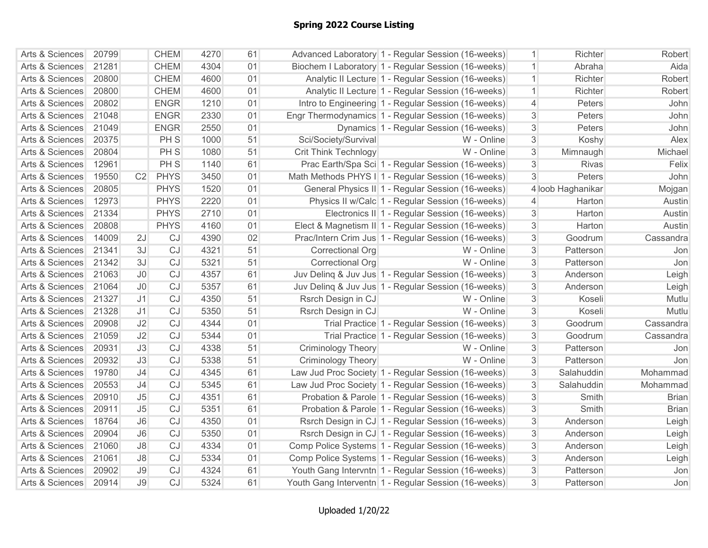| Arts & Sciences            | 20799 |                | <b>CHEM</b>     | 4270 | 61 |                             | Advanced Laboratory 1 - Regular Session (16-weeks)   | 1              | Richter           | Robert       |
|----------------------------|-------|----------------|-----------------|------|----|-----------------------------|------------------------------------------------------|----------------|-------------------|--------------|
| Arts & Sciences            | 21281 |                | <b>CHEM</b>     | 4304 | 01 |                             | Biochem I Laboratory 1 - Regular Session (16-weeks)  | $\vert$        | Abraha            | Aida         |
| Arts & Sciences            | 20800 |                | <b>CHEM</b>     | 4600 | 01 |                             | Analytic II Lecture 1 - Regular Session (16-weeks)   | $\vert$        | Richter           | Robert       |
| Arts & Sciences            | 20800 |                | <b>CHEM</b>     | 4600 | 01 |                             | Analytic II Lecture 1 - Regular Session (16-weeks)   | $\vert$        | Richter           | Robert       |
| Arts & Sciences            | 20802 |                | <b>ENGR</b>     | 1210 | 01 |                             | Intro to Engineering 1 - Regular Session (16-weeks)  | $\overline{4}$ | Peters            | John         |
| Arts & Sciences            | 21048 |                | <b>ENGR</b>     | 2330 | 01 |                             | Engr Thermodynamics 1 - Regular Session (16-weeks)   | 3              | Peters            | John         |
| Arts & Sciences            | 21049 |                | <b>ENGR</b>     | 2550 | 01 |                             | Dynamics 1 - Regular Session (16-weeks)              | 3              | Peters            | John         |
| Arts & Sciences            | 20375 |                | PH <sub>S</sub> | 1000 | 51 | Sci/Society/Survival        | W - Online                                           | 3              | Koshy             | Alex         |
| Arts & Sciences            | 20804 |                | PH <sub>S</sub> | 1080 | 51 | <b>Crit Think Technlogy</b> | W - Online                                           | 3              | Mimnaugh          | Michael      |
| Arts & Sciences            | 12961 |                | PH <sub>S</sub> | 1140 | 61 |                             | Prac Earth/Spa Sci 1 - Regular Session (16-weeks)    | 3              | <b>Rivas</b>      | Felix        |
| Arts & Sciences            | 19550 | C <sub>2</sub> | <b>PHYS</b>     | 3450 | 01 |                             | Math Methods PHYS I 1 - Regular Session (16-weeks)   | 3              | Peters            | John         |
| Arts & Sciences            | 20805 |                | <b>PHYS</b>     | 1520 | 01 |                             | General Physics II 1 - Regular Session (16-weeks)    |                | 4 loob Haghanikar | Mojgan       |
| <b>Arts &amp; Sciences</b> | 12973 |                | <b>PHYS</b>     | 2220 | 01 |                             | Physics II w/Calc 1 - Regular Session (16-weeks)     | $\overline{4}$ | Harton            | Austin       |
| Arts & Sciences            | 21334 |                | <b>PHYS</b>     | 2710 | 01 |                             | Electronics II 1 - Regular Session (16-weeks)        | 3              | Harton            | Austin       |
| <b>Arts &amp; Sciences</b> | 20808 |                | <b>PHYS</b>     | 4160 | 01 |                             | Elect & Magnetism II 1 - Regular Session (16-weeks)  | 3              | Harton            | Austin       |
| Arts & Sciences            | 14009 | 2J             | CJ              | 4390 | 02 |                             | Prac/Intern Crim Jus 1 - Regular Session (16-weeks)  | $\overline{3}$ | Goodrum           | Cassandra    |
| Arts & Sciences            | 21341 | 3J             | CJ              | 4321 | 51 | Correctional Org            | W - Online                                           | $\mathfrak{S}$ | Patterson         | Jon          |
| Arts & Sciences            | 21342 | 3J             | CJ              | 5321 | 51 | <b>Correctional Org</b>     | W - Online                                           | 3              | Patterson         | Jon          |
| Arts & Sciences            | 21063 | J <sub>0</sub> | CJ              | 4357 | 61 |                             | Juv Deling & Juv Jus 1 - Regular Session (16-weeks)  | 3              | Anderson          | Leigh        |
| Arts & Sciences            | 21064 | J <sub>0</sub> | CJ              | 5357 | 61 |                             | Juv Deling & Juv Jus 1 - Regular Session (16-weeks)  | 3              | Anderson          | Leigh        |
| Arts & Sciences            | 21327 | J <sub>1</sub> | CJ              | 4350 | 51 | Rsrch Design in CJ          | W - Online                                           | 3              | Koseli            | Mutlu        |
| Arts & Sciences            | 21328 | J <sub>1</sub> | CJ              | 5350 | 51 | Rsrch Design in CJ          | W - Online                                           | $\mathfrak{S}$ | Koseli            | Mutlu        |
| Arts & Sciences            | 20908 | J2             | CJ              | 4344 | 01 |                             | Trial Practice 1 - Regular Session (16-weeks)        | $\mathfrak{S}$ | Goodrum           | Cassandra    |
| Arts & Sciences            | 21059 | J2             | CJ              | 5344 | 01 |                             | Trial Practice 1 - Regular Session (16-weeks)        | $\mathfrak{S}$ | Goodrum           | Cassandra    |
| Arts & Sciences            | 20931 | J3             | CJ              | 4338 | 51 | <b>Criminology Theory</b>   | W - Online                                           | $\mathfrak{S}$ | Patterson         | Jon          |
| Arts & Sciences            | 20932 | J3             | CJ              | 5338 | 51 | <b>Criminology Theory</b>   | W - Online                                           | $\overline{3}$ | Patterson         | Jon          |
| Arts & Sciences            | 19780 | J4             | CJ              | 4345 | 61 |                             | Law Jud Proc Society 1 - Regular Session (16-weeks)  | 3              | Salahuddin        | Mohammad     |
| Arts & Sciences            | 20553 | J4             | CJ              | 5345 | 61 |                             | Law Jud Proc Society 1 - Regular Session (16-weeks)  | 3 <sup>1</sup> | Salahuddin        | Mohammad     |
| Arts & Sciences            | 20910 | J5             | CJ              | 4351 | 61 |                             | Probation & Parole 1 - Regular Session (16-weeks)    | $\mathfrak{S}$ | <b>Smith</b>      | <b>Brian</b> |
| Arts & Sciences            | 20911 | J <sub>5</sub> | CJ              | 5351 | 61 |                             | Probation & Parole 1 - Regular Session (16-weeks)    | $\mathfrak{S}$ | Smith             | <b>Brian</b> |
| Arts & Sciences            | 18764 | J6             | CJ              | 4350 | 01 |                             | Rsrch Design in CJ 1 - Regular Session (16-weeks)    | 3              | Anderson          | Leigh        |
| Arts & Sciences            | 20904 | J6             | CJ              | 5350 | 01 |                             | Rsrch Design in CJ 1 - Regular Session (16-weeks)    | 3              | Anderson          | Leigh        |
| Arts & Sciences            | 21060 | J8             | CJ              | 4334 | 01 |                             | Comp Police Systems 1 - Regular Session (16-weeks)   | 3              | Anderson          | Leigh        |
| Arts & Sciences            | 21061 | J8             | CJ              | 5334 | 01 |                             | Comp Police Systems 1 - Regular Session (16-weeks)   | 3              | Anderson          | Leigh        |
| Arts & Sciences            | 20902 | J9             | CJ              | 4324 | 61 |                             | Youth Gang Intervntn 1 - Regular Session (16-weeks)  | $\mathfrak{S}$ | Patterson         | Jon          |
| Arts & Sciences            | 20914 | J9             | CJ              | 5324 | 61 |                             | Youth Gang Interventn 1 - Regular Session (16-weeks) | $\mathbf{3}$   | Patterson         | Jon          |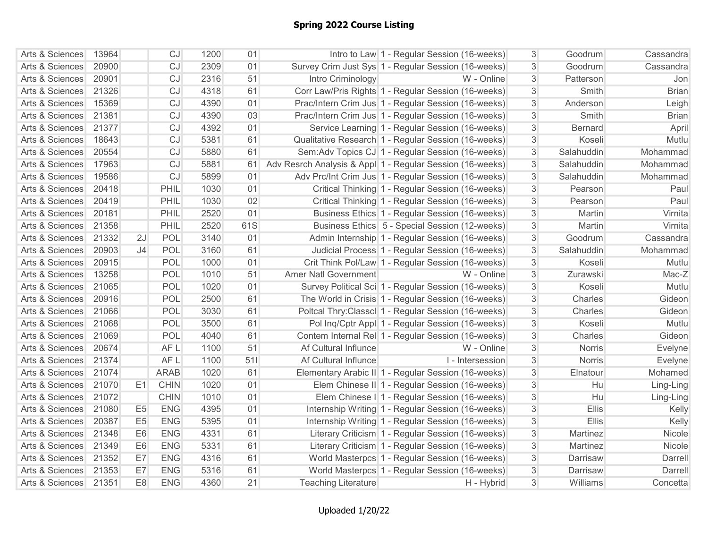| Arts & Sciences | 13964 |                | CJ          | 1200 | 01  |                             | Intro to Law 1 - Regular Session (16-weeks)               | 3 <sup>1</sup> | Goodrum        | Cassandra    |
|-----------------|-------|----------------|-------------|------|-----|-----------------------------|-----------------------------------------------------------|----------------|----------------|--------------|
| Arts & Sciences | 20900 |                | CJ          | 2309 | 01  |                             | Survey Crim Just Sys 1 - Regular Session (16-weeks)       | $\overline{3}$ | Goodrum        | Cassandra    |
| Arts & Sciences | 20901 |                | CJ          | 2316 | 51  | Intro Criminology           | W - Online                                                | 3 <sup>1</sup> | Patterson      | Jon          |
| Arts & Sciences | 21326 |                | CJ          | 4318 | 61  |                             | Corr Law/Pris Rights 1 - Regular Session (16-weeks)       | $\overline{3}$ | Smith          | <b>Brian</b> |
| Arts & Sciences | 15369 |                | CJ          | 4390 | 01  |                             | Prac/Intern Crim Jus 1 - Regular Session (16-weeks)       | 3 <sup>1</sup> | Anderson       | Leigh        |
| Arts & Sciences | 21381 |                | CJ          | 4390 | 03  |                             | Prac/Intern Crim Jus 1 - Regular Session (16-weeks)       | $\overline{3}$ | Smith          | <b>Brian</b> |
| Arts & Sciences | 21377 |                | CJ          | 4392 | 01  |                             | Service Learning 1 - Regular Session (16-weeks)           | $\overline{3}$ | <b>Bernard</b> | April        |
| Arts & Sciences | 18643 |                | CJ          | 5381 | 61  |                             | Qualitative Research 1 - Regular Session (16-weeks)       | 3 <sup>1</sup> | Koseli         | Mutlu        |
| Arts & Sciences | 20554 |                | CJ          | 5880 | 61  |                             | Sem:Adv Topics CJ 1 - Regular Session (16-weeks)          | 3              | Salahuddin     | Mohammad     |
| Arts & Sciences | 17963 |                | CJ          | 5881 | 61  |                             | Adv Resrch Analysis & Appl 1 - Regular Session (16-weeks) | 3 <sup>1</sup> | Salahuddin     | Mohammad     |
| Arts & Sciences | 19586 |                | CJ          | 5899 | 01  |                             | Adv Prc/Int Crim Jus 1 - Regular Session (16-weeks)       | $\overline{3}$ | Salahuddin     | Mohammad     |
| Arts & Sciences | 20418 |                | PHIL        | 1030 | 01  |                             | Critical Thinking 1 - Regular Session (16-weeks)          | $\overline{3}$ | Pearson        | Paul         |
| Arts & Sciences | 20419 |                | PHIL        | 1030 | 02  |                             | Critical Thinking 1 - Regular Session (16-weeks)          | 3 <sup>1</sup> | Pearson        | Paul         |
| Arts & Sciences | 20181 |                | PHIL        | 2520 | 01  |                             | Business Ethics 1 - Regular Session (16-weeks)            | 3 <sup>1</sup> | Martin         | Virnita      |
| Arts & Sciences | 21358 |                | PHIL        | 2520 | 61S |                             | Business Ethics 5 - Special Session (12-weeks)            | $\overline{3}$ | Martin         | Virnita      |
| Arts & Sciences | 21332 | 2J             | POL         | 3140 | 01  |                             | Admin Internship 1 - Regular Session (16-weeks)           | $\overline{3}$ | Goodrum        | Cassandra    |
| Arts & Sciences | 20903 | J <sub>4</sub> | POL         | 3160 | 61  |                             | Judicial Process 1 - Regular Session (16-weeks)           | $\overline{3}$ | Salahuddin     | Mohammad     |
| Arts & Sciences | 20915 |                | <b>POL</b>  | 1000 | 01  |                             | Crit Think Pol/Law 1 - Regular Session (16-weeks)         | $\overline{3}$ | Koseli         | Mutlu        |
| Arts & Sciences | 13258 |                | POL         | 1010 | 51  | <b>Amer Natl Government</b> | W - Online                                                | 3              | Zurawski       | Mac-Z        |
| Arts & Sciences | 21065 |                | POL         | 1020 | 01  |                             | Survey Political Sci 1 - Regular Session (16-weeks)       | $\mathfrak{S}$ | Koseli         | Mutlu        |
| Arts & Sciences | 20916 |                | POL         | 2500 | 61  |                             | The World in Crisis 1 - Regular Session (16-weeks)        | 3 <sup>1</sup> | Charles        | Gideon       |
| Arts & Sciences | 21066 |                | <b>POL</b>  | 3030 | 61  |                             | Poltcal Thry:Classcl 1 - Regular Session (16-weeks)       | 3 <sup>1</sup> | Charles        | Gideon       |
| Arts & Sciences | 21068 |                | <b>POL</b>  | 3500 | 61  |                             | Pol Inq/Cptr Appl 1 - Regular Session (16-weeks)          | $\overline{3}$ | Koseli         | Mutlu        |
| Arts & Sciences | 21069 |                | <b>POL</b>  | 4040 | 61  |                             | Contem Internal Rel 1 - Regular Session (16-weeks)        | $\mathbf{3}$   | Charles        | Gideon       |
| Arts & Sciences | 20674 |                | AF L        | 1100 | 51  | Af Cultural Influnce        | W - Online                                                | 3 <sup>1</sup> | Norris         | Evelyne      |
| Arts & Sciences | 21374 |                | AF L        | 1100 | 511 | Af Cultural Influnce        | I - Intersession                                          | $\overline{3}$ | <b>Norris</b>  | Evelyne      |
| Arts & Sciences | 21074 |                | <b>ARAB</b> | 1020 | 61  |                             | Elementary Arabic II 1 - Regular Session (16-weeks)       | $\overline{3}$ | Elnatour       | Mohamed      |
| Arts & Sciences | 21070 | E1             | <b>CHIN</b> | 1020 | 01  |                             | Elem Chinese II 1 - Regular Session (16-weeks)            | $\overline{3}$ | Hu             | Ling-Ling    |
| Arts & Sciences | 21072 |                | <b>CHIN</b> | 1010 | 01  |                             | Elem Chinese I 1 - Regular Session (16-weeks)             | $\overline{3}$ | Hu             | Ling-Ling    |
| Arts & Sciences | 21080 | E <sub>5</sub> | <b>ENG</b>  | 4395 | 01  |                             | Internship Writing 1 - Regular Session (16-weeks)         | $\overline{3}$ | Ellis          | Kelly        |
| Arts & Sciences | 20387 | E <sub>5</sub> | <b>ENG</b>  | 5395 | 01  |                             | Internship Writing 1 - Regular Session (16-weeks)         | 3 <sup>1</sup> | Ellis          | Kelly        |
| Arts & Sciences | 21348 | E <sub>6</sub> | <b>ENG</b>  | 4331 | 61  |                             | Literary Criticism 1 - Regular Session (16-weeks)         | 3 <sup>1</sup> | Martinez       | Nicole       |
| Arts & Sciences | 21349 | E <sub>6</sub> | <b>ENG</b>  | 5331 | 61  |                             | Literary Criticism 1 - Regular Session (16-weeks)         | 3 <sup>1</sup> | Martinez       | Nicole       |
| Arts & Sciences | 21352 | E7             | <b>ENG</b>  | 4316 | 61  |                             | World Masterpcs 1 - Regular Session (16-weeks)            | 3              | Darrisaw       | Darrell      |
| Arts & Sciences | 21353 | E7             | <b>ENG</b>  | 5316 | 61  |                             | World Masterpcs 1 - Regular Session (16-weeks)            | 3 <sup>1</sup> | Darrisaw       | Darrell      |
| Arts & Sciences | 21351 | E <sub>8</sub> | <b>ENG</b>  | 4360 | 21  | <b>Teaching Literature</b>  | H - Hybrid                                                | 3 <sup>1</sup> | Williams       | Concetta     |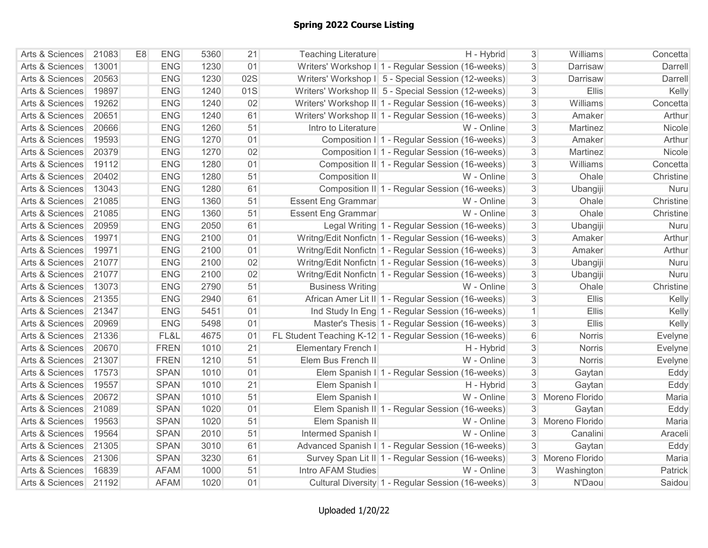| Arts & Sciences | 21083 | E <sub>8</sub> | <b>ENG</b>  | 5360 | 21  | <b>Teaching Literature</b> | H - Hybrid                                              | 3 <sup>1</sup> | Williams       | Concetta  |
|-----------------|-------|----------------|-------------|------|-----|----------------------------|---------------------------------------------------------|----------------|----------------|-----------|
| Arts & Sciences | 13001 |                | <b>ENG</b>  | 1230 | 01  |                            | Writers' Workshop I 1 - Regular Session (16-weeks)      | 3              | Darrisaw       | Darrell   |
| Arts & Sciences | 20563 |                | <b>ENG</b>  | 1230 | 02S |                            | Writers' Workshop I 5 - Special Session (12-weeks)      | 3 <sup>1</sup> | Darrisaw       | Darrell   |
| Arts & Sciences | 19897 |                | <b>ENG</b>  | 1240 | 01S |                            | Writers' Workshop II 5 - Special Session (12-weeks)     | $\overline{3}$ | Ellis          | Kelly     |
| Arts & Sciences | 19262 |                | <b>ENG</b>  | 1240 | 02  |                            | Writers' Workshop II 1 - Regular Session (16-weeks)     | $\overline{3}$ | Williams       | Concetta  |
| Arts & Sciences | 20651 |                | <b>ENG</b>  | 1240 | 61  |                            | Writers' Workshop II 1 - Regular Session (16-weeks)     | $\overline{3}$ | Amaker         | Arthur    |
| Arts & Sciences | 20666 |                | <b>ENG</b>  | 1260 | 51  | Intro to Literature        | W - Online                                              | 3              | Martinez       | Nicole    |
| Arts & Sciences | 19593 |                | <b>ENG</b>  | 1270 | 01  |                            | Composition I 1 - Regular Session (16-weeks)            | 3              | Amaker         | Arthur    |
| Arts & Sciences | 20379 |                | <b>ENG</b>  | 1270 | 02  |                            | Composition I 1 - Regular Session (16-weeks)            | $\mathbf{3}$   | Martinez       | Nicole    |
| Arts & Sciences | 19112 |                | <b>ENG</b>  | 1280 | 01  |                            | Composition II 1 - Regular Session (16-weeks)           | 3              | Williams       | Concetta  |
| Arts & Sciences | 20402 |                | <b>ENG</b>  | 1280 | 51  | Composition II             | W - Online                                              | 3              | Ohale          | Christine |
| Arts & Sciences | 13043 |                | <b>ENG</b>  | 1280 | 61  |                            | Composition II 1 - Regular Session (16-weeks)           | 3              | Ubangiji       | Nuru      |
| Arts & Sciences | 21085 |                | <b>ENG</b>  | 1360 | 51  | <b>Essent Eng Grammar</b>  | W - Online                                              | 3              | Ohale          | Christine |
| Arts & Sciences | 21085 |                | <b>ENG</b>  | 1360 | 51  | <b>Essent Eng Grammar</b>  | W - Online                                              | 3              | Ohale          | Christine |
| Arts & Sciences | 20959 |                | <b>ENG</b>  | 2050 | 61  |                            | Legal Writing 1 - Regular Session (16-weeks)            | 3              | Ubangiji       | Nuru      |
| Arts & Sciences | 19971 |                | <b>ENG</b>  | 2100 | 01  |                            | Writng/Edit Nonfictn 1 - Regular Session (16-weeks)     | $\overline{3}$ | Amaker         | Arthur    |
| Arts & Sciences | 19971 |                | <b>ENG</b>  | 2100 | 01  |                            | Writng/Edit Nonfictn 1 - Regular Session (16-weeks)     | $\overline{3}$ | Amaker         | Arthur    |
| Arts & Sciences | 21077 |                | <b>ENG</b>  | 2100 | 02  |                            | Writng/Edit Nonfictn 1 - Regular Session (16-weeks)     | $\overline{3}$ | Ubangiji       | Nuru      |
| Arts & Sciences | 21077 |                | <b>ENG</b>  | 2100 | 02  |                            | Writng/Edit Nonfictn 1 - Regular Session (16-weeks)     | 3              | Ubangiji       | Nuru      |
| Arts & Sciences | 13073 |                | <b>ENG</b>  | 2790 | 51  | <b>Business Writing</b>    | W - Online                                              | 3              | Ohale          | Christine |
| Arts & Sciences | 21355 |                | <b>ENG</b>  | 2940 | 61  |                            | African Amer Lit II 1 - Regular Session (16-weeks)      | 3              | Ellis          | Kelly     |
| Arts & Sciences | 21347 |                | <b>ENG</b>  | 5451 | 01  |                            | Ind Study In Eng 1 - Regular Session (16-weeks)         | $\mathbf{1}$   | Ellis          | Kelly     |
| Arts & Sciences | 20969 |                | <b>ENG</b>  | 5498 | 01  |                            | Master's Thesis 1 - Regular Session (16-weeks)          | $\overline{3}$ | Ellis          | Kelly     |
| Arts & Sciences | 21336 |                | FL&L        | 4675 | 01  |                            | FL Student Teaching K-12 1 - Regular Session (16-weeks) | $6 \,$         | <b>Norris</b>  | Evelyne   |
| Arts & Sciences | 20670 |                | <b>FREN</b> | 1010 | 21  | Elementary French I        | H - Hybrid                                              | $\mathfrak{S}$ | <b>Norris</b>  | Evelyne   |
| Arts & Sciences | 21307 |                | <b>FREN</b> | 1210 | 51  | Elem Bus French II         | W - Online                                              | 3              | Norris         | Evelyne   |
| Arts & Sciences | 17573 |                | <b>SPAN</b> | 1010 | 01  |                            | Elem Spanish I   1 - Regular Session (16-weeks)         | $\overline{3}$ | Gaytan         | Eddy      |
| Arts & Sciences | 19557 |                | <b>SPAN</b> | 1010 | 21  | Elem Spanish I             | H - Hybrid                                              | $\overline{3}$ | Gaytan         | Eddy      |
| Arts & Sciences | 20672 |                | <b>SPAN</b> | 1010 | 51  | Elem Spanish I             | W - Online                                              | 3              | Moreno Florido | Maria     |
| Arts & Sciences | 21089 |                | <b>SPAN</b> | 1020 | 01  |                            | Elem Spanish II   1 - Regular Session (16-weeks)        | 3              | Gaytan         | Eddy      |
| Arts & Sciences | 19563 |                | <b>SPAN</b> | 1020 | 51  | Elem Spanish II            | W - Online                                              | 3              | Moreno Florido | Maria     |
| Arts & Sciences | 19564 |                | <b>SPAN</b> | 2010 | 51  | Intermed Spanish I         | W - Online                                              | 3 <sup>1</sup> | Canalini       | Araceli   |
| Arts & Sciences | 21305 |                | <b>SPAN</b> | 3010 | 61  |                            | Advanced Spanish I 1 - Regular Session (16-weeks)       | 3              | Gaytan         | Eddy      |
| Arts & Sciences | 21306 |                | <b>SPAN</b> | 3230 | 61  |                            | Survey Span Lit II 1 - Regular Session (16-weeks)       | 3              | Moreno Florido | Maria     |
| Arts & Sciences | 16839 |                | <b>AFAM</b> | 1000 | 51  | Intro AFAM Studies         | W - Online                                              | 3 <sup>1</sup> | Washington     | Patrick   |
| Arts & Sciences | 21192 |                | <b>AFAM</b> | 1020 | 01  |                            | Cultural Diversity 1 - Regular Session (16-weeks)       | $\overline{3}$ | N'Daou         | Saidou    |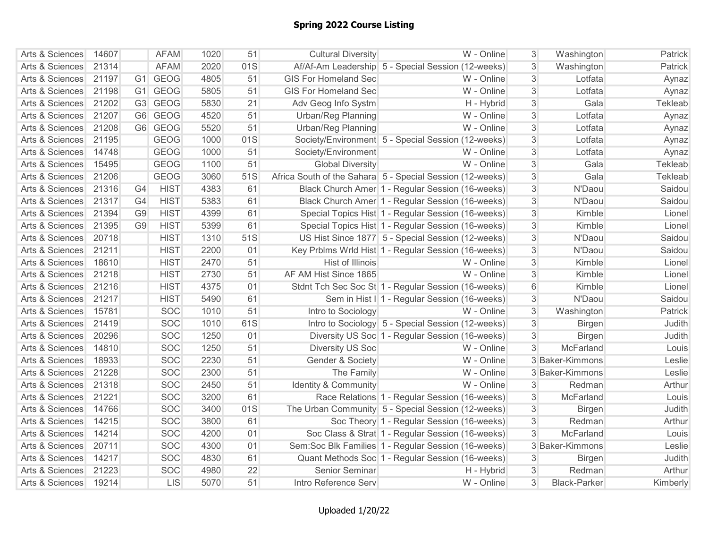| Arts & Sciences | 14607 |                | <b>AFAM</b> | 1020 | 51  | <b>Cultural Diversity</b>       | W - Online                                                | 3 <sup>1</sup> | Washington          | <b>Patrick</b> |
|-----------------|-------|----------------|-------------|------|-----|---------------------------------|-----------------------------------------------------------|----------------|---------------------|----------------|
| Arts & Sciences | 21314 |                | <b>AFAM</b> | 2020 | 01S |                                 | Af/Af-Am Leadership 5 - Special Session (12-weeks)        | 3              | Washington          | <b>Patrick</b> |
| Arts & Sciences | 21197 |                | G1 GEOG     | 4805 | 51  | <b>GIS For Homeland Sec</b>     | W - Online                                                | 3 <sup>1</sup> | Lotfata             | Aynaz          |
| Arts & Sciences | 21198 |                | G1 GEOG     | 5805 | 51  | <b>GIS For Homeland Sec</b>     | W - Online                                                | $\overline{3}$ | Lotfata             | Aynaz          |
| Arts & Sciences | 21202 |                | G3 GEOG     | 5830 | 21  | Adv Geog Info Systm             | H - Hybrid                                                | $\overline{3}$ | Gala                | Tekleab        |
| Arts & Sciences | 21207 |                | G6 GEOG     | 4520 | 51  | Urban/Reg Planning              | W - Online                                                | $\mathbf{3}$   | Lotfata             | Aynaz          |
| Arts & Sciences | 21208 |                | G6 GEOG     | 5520 | 51  | Urban/Reg Planning              | W - Online                                                | $\overline{3}$ | Lotfata             | Aynaz          |
| Arts & Sciences | 21195 |                | <b>GEOG</b> | 1000 | 01S |                                 | Society/Environment 5 - Special Session (12-weeks)        | 3              | Lotfata             | Aynaz          |
| Arts & Sciences | 14748 |                | <b>GEOG</b> | 1000 | 51  | Society/Environment             | W - Online                                                | 3              | Lotfata             | Aynaz          |
| Arts & Sciences | 15495 |                | <b>GEOG</b> | 1100 | 51  | <b>Global Diversity</b>         | W - Online                                                | 3              | Gala                | Tekleab        |
| Arts & Sciences | 21206 |                | <b>GEOG</b> | 3060 | 51S |                                 | Africa South of the Sahara 5 - Special Session (12-weeks) | 3              | Gala                | Tekleab        |
| Arts & Sciences | 21316 | G4             | <b>HIST</b> | 4383 | 61  |                                 | Black Church Amer 1 - Regular Session (16-weeks)          | $\overline{3}$ | N'Daou              | Saidou         |
| Arts & Sciences | 21317 | G4             | <b>HIST</b> | 5383 | 61  |                                 | Black Church Amer 1 - Regular Session (16-weeks)          | $\overline{3}$ | N'Daou              | Saidou         |
| Arts & Sciences | 21394 | G <sub>9</sub> | <b>HIST</b> | 4399 | 61  |                                 | Special Topics Hist 1 - Regular Session (16-weeks)        | $\overline{3}$ | Kimble              | Lionel         |
| Arts & Sciences | 21395 | G <sub>9</sub> | <b>HIST</b> | 5399 | 61  |                                 | Special Topics Hist 1 - Regular Session (16-weeks)        | $\overline{3}$ | Kimble              | Lionel         |
| Arts & Sciences | 20718 |                | <b>HIST</b> | 1310 | 51S |                                 | US Hist Since 1877 5 - Special Session (12-weeks)         | 3              | N'Daou              | Saidou         |
| Arts & Sciences | 21211 |                | <b>HIST</b> | 2200 | 01  |                                 | Key Prblms Wrld Hist 1 - Regular Session (16-weeks)       | $\overline{3}$ | N'Daou              | Saidou         |
| Arts & Sciences | 18610 |                | <b>HIST</b> | 2470 | 51  | Hist of Illinois                | W - Online                                                | 3 <sup>1</sup> | Kimble              | Lionel         |
| Arts & Sciences | 21218 |                | <b>HIST</b> | 2730 | 51  | AF AM Hist Since 1865           | W - Online                                                | $\overline{3}$ | Kimble              | Lionel         |
| Arts & Sciences | 21216 |                | <b>HIST</b> | 4375 | 01  |                                 | Stdnt Tch Sec Soc St 1 - Regular Session (16-weeks)       | $6 \,$         | Kimble              | Lionel         |
| Arts & Sciences | 21217 |                | <b>HIST</b> | 5490 | 61  |                                 | Sem in Hist I   1 - Regular Session (16-weeks)            | 3              | N'Daou              | Saidou         |
| Arts & Sciences | 15781 |                | <b>SOC</b>  | 1010 | 51  | Intro to Sociology              | W - Online                                                | 3              | Washington          | Patrick        |
| Arts & Sciences | 21419 |                | <b>SOC</b>  | 1010 | 61S |                                 | Intro to Sociology 5 - Special Session (12-weeks)         | $\overline{3}$ | <b>Birgen</b>       | Judith         |
| Arts & Sciences | 20296 |                | <b>SOC</b>  | 1250 | 01  |                                 | Diversity US Soc 1 - Regular Session (16-weeks)           | 3              | <b>Birgen</b>       | Judith         |
| Arts & Sciences | 14810 |                | <b>SOC</b>  | 1250 | 51  | Diversity US Soc                | W - Online                                                | $\overline{3}$ | McFarland           | Louis          |
| Arts & Sciences | 18933 |                | <b>SOC</b>  | 2230 | 51  | Gender & Society                | W - Online                                                |                | 3 Baker-Kimmons     | Leslie         |
| Arts & Sciences | 21228 |                | <b>SOC</b>  | 2300 | 51  | The Family                      | W - Online                                                |                | 3 Baker-Kimmons     | Leslie         |
| Arts & Sciences | 21318 |                | <b>SOC</b>  | 2450 | 51  | <b>Identity &amp; Community</b> | W - Online                                                | $\overline{3}$ | Redman              | Arthur         |
| Arts & Sciences | 21221 |                | <b>SOC</b>  | 3200 | 61  |                                 | Race Relations 1 - Regular Session (16-weeks)             | 3 <sup>1</sup> | McFarland           | Louis          |
| Arts & Sciences | 14766 |                | <b>SOC</b>  | 3400 | 01S |                                 | The Urban Community 5 - Special Session (12-weeks)        | $\overline{3}$ | <b>Birgen</b>       | Judith         |
| Arts & Sciences | 14215 |                | <b>SOC</b>  | 3800 | 61  |                                 | Soc Theory 1 - Regular Session (16-weeks)                 | 3 <sup>1</sup> | Redman              | Arthur         |
| Arts & Sciences | 14214 |                | <b>SOC</b>  | 4200 | 01  |                                 | Soc Class & Strat 1 - Regular Session (16-weeks)          | $\overline{3}$ | McFarland           | Louis          |
| Arts & Sciences | 20711 |                | <b>SOC</b>  | 4300 | 01  |                                 | Sem:Soc Blk Families 1 - Regular Session (16-weeks)       |                | 3 Baker-Kimmons     | Leslie         |
| Arts & Sciences | 14217 |                | <b>SOC</b>  | 4830 | 61  |                                 | Quant Methods Soc 1 - Regular Session (16-weeks)          | 3 <sup>1</sup> | <b>Birgen</b>       | Judith         |
| Arts & Sciences | 21223 |                | <b>SOC</b>  | 4980 | 22  | Senior Seminar                  | H - Hybrid                                                | 3              | Redman              | Arthur         |
| Arts & Sciences | 19214 |                | <b>LIS</b>  | 5070 | 51  | Intro Reference Serv            | W - Online                                                | 3              | <b>Black-Parker</b> | Kimberly       |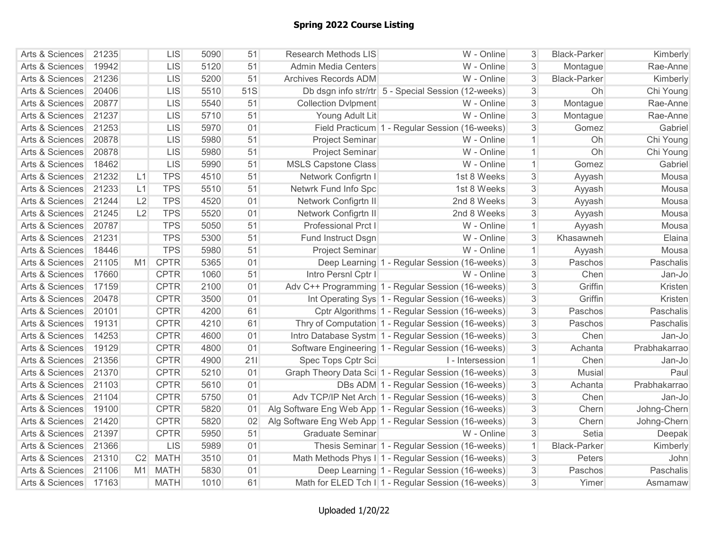| Arts & Sciences | 21235 |                | <b>LIS</b>  | 5090 | 51  | <b>Research Methods LIS</b> | W - Online                                              | 3              | <b>Black-Parker</b> | Kimberly     |
|-----------------|-------|----------------|-------------|------|-----|-----------------------------|---------------------------------------------------------|----------------|---------------------|--------------|
| Arts & Sciences | 19942 |                | <b>LIS</b>  | 5120 | 51  | <b>Admin Media Centers</b>  | W - Online                                              | 3              | Montague            | Rae-Anne     |
| Arts & Sciences | 21236 |                | <b>LIS</b>  | 5200 | 51  | Archives Records ADM        | W - Online                                              | $\mathbf{3}$   | <b>Black-Parker</b> | Kimberly     |
| Arts & Sciences | 20406 |                | <b>LIS</b>  | 5510 | 51S |                             | Db dsgn info str/rtr 5 - Special Session (12-weeks)     | $\overline{3}$ | Oh                  | Chi Young    |
| Arts & Sciences | 20877 |                | <b>LIS</b>  | 5540 | 51  | <b>Collection DvIpment</b>  | W - Online                                              | 3 <sup>1</sup> | Montague            | Rae-Anne     |
| Arts & Sciences | 21237 |                | <b>LIS</b>  | 5710 | 51  | Young Adult Lit             | W - Online                                              | 3 <sup>1</sup> | Montague            | Rae-Anne     |
| Arts & Sciences | 21253 |                | <b>LIS</b>  | 5970 | 01  |                             | Field Practicum 1 - Regular Session (16-weeks)          | $\mathbf{3}$   | Gomez               | Gabriel      |
| Arts & Sciences | 20878 |                | <b>LIS</b>  | 5980 | 51  | Project Seminar             | W - Online                                              | $\mathbf{1}$   | Oh                  | Chi Young    |
| Arts & Sciences | 20878 |                | <b>LIS</b>  | 5980 | 51  | Project Seminar             | W - Online                                              | $\mathbf{1}$   | Oh                  | Chi Young    |
| Arts & Sciences | 18462 |                | <b>LIS</b>  | 5990 | 51  | <b>MSLS Capstone Class</b>  | W - Online                                              | $\vert$        | Gomez               | Gabriel      |
| Arts & Sciences | 21232 | L1             | <b>TPS</b>  | 4510 | 51  | Network Configrtn I         | 1st 8 Weeks                                             | $\mathfrak{S}$ | Ayyash              | Mousa        |
| Arts & Sciences | 21233 | L1             | <b>TPS</b>  | 5510 | 51  | Netwrk Fund Info Spc        | 1st 8 Weeks                                             | $\mathbf{3}$   | Ayyash              | Mousa        |
| Arts & Sciences | 21244 | L2             | <b>TPS</b>  | 4520 | 01  | Network Configrtn II        | 2nd 8 Weeks                                             | 3              | Ayyash              | Mousa        |
| Arts & Sciences | 21245 | L2             | <b>TPS</b>  | 5520 | 01  | Network Configrtn II        | 2nd 8 Weeks                                             | $\mathfrak{S}$ | Ayyash              | Mousa        |
| Arts & Sciences | 20787 |                | <b>TPS</b>  | 5050 | 51  | Professional Prct I         | W - Online                                              | $\vert$        | Ayyash              | Mousa        |
| Arts & Sciences | 21231 |                | <b>TPS</b>  | 5300 | 51  | Fund Instruct Dsgn          | W - Online                                              | 3 <sup>1</sup> | Khasawneh           | Elaina       |
| Arts & Sciences | 18446 |                | <b>TPS</b>  | 5980 | 51  | Project Seminar             | W - Online                                              | $\vert$        | Ayyash              | Mousa        |
| Arts & Sciences | 21105 | M1             | <b>CPTR</b> | 5365 | 01  |                             | Deep Learning 1 - Regular Session (16-weeks)            | 3              | Paschos             | Paschalis    |
| Arts & Sciences | 17660 |                | <b>CPTR</b> | 1060 | 51  | Intro Persnl Cptr I         | W - Online                                              | $\mathfrak{S}$ | Chen                | Jan-Jo       |
| Arts & Sciences | 17159 |                | <b>CPTR</b> | 2100 | 01  |                             | Adv C++ Programming 1 - Regular Session (16-weeks)      | $\mathfrak{S}$ | Griffin             | Kristen      |
| Arts & Sciences | 20478 |                | <b>CPTR</b> | 3500 | 01  |                             | Int Operating Sys 1 - Regular Session (16-weeks)        | 3 <sup>1</sup> | Griffin             | Kristen      |
| Arts & Sciences | 20101 |                | <b>CPTR</b> | 4200 | 61  |                             | Cptr Algorithms 1 - Regular Session (16-weeks)          | 3              | Paschos             | Paschalis    |
| Arts & Sciences | 19131 |                | <b>CPTR</b> | 4210 | 61  |                             | Thry of Computation 1 - Regular Session (16-weeks)      | 3              | Paschos             | Paschalis    |
| Arts & Sciences | 14253 |                | <b>CPTR</b> | 4600 | 01  |                             | Intro Database Systm 1 - Regular Session (16-weeks)     | $\mathbf{3}$   | Chen                | Jan-Jo       |
| Arts & Sciences | 19129 |                | <b>CPTR</b> | 4800 | 01  |                             | Software Engineering 1 - Regular Session (16-weeks)     | 3              | Achanta             | Prabhakarrao |
| Arts & Sciences | 21356 |                | <b>CPTR</b> | 4900 | 211 | Spec Tops Cptr Sci          | I - Intersession                                        | $\vert$        | Chen                | Jan-Jo       |
| Arts & Sciences | 21370 |                | <b>CPTR</b> | 5210 | 01  |                             | Graph Theory Data Sci 1 - Regular Session (16-weeks)    | $\overline{3}$ | Musial              | Paul         |
| Arts & Sciences | 21103 |                | <b>CPTR</b> | 5610 | 01  |                             | DBs ADM 1 - Regular Session (16-weeks)                  | $\overline{3}$ | Achanta             | Prabhakarrao |
| Arts & Sciences | 21104 |                | <b>CPTR</b> | 5750 | 01  |                             | Adv TCP/IP Net Arch 1 - Regular Session (16-weeks)      | $\overline{3}$ | Chen                | Jan-Jo       |
| Arts & Sciences | 19100 |                | <b>CPTR</b> | 5820 | 01  |                             | Alg Software Eng Web App 1 - Regular Session (16-weeks) | $\overline{3}$ | Chern               | Johng-Chern  |
| Arts & Sciences | 21420 |                | <b>CPTR</b> | 5820 | 02  |                             | Alg Software Eng Web App 1 - Regular Session (16-weeks) | 3 <sup>1</sup> | Chern               | Johng-Chern  |
| Arts & Sciences | 21397 |                | <b>CPTR</b> | 5950 | 51  | <b>Graduate Seminar</b>     | W - Online                                              | 3              | Setia               | Deepak       |
| Arts & Sciences | 21366 |                | <b>LIS</b>  | 5989 | 01  |                             | Thesis Seminar 1 - Regular Session (16-weeks)           | $\mathbf{1}$   | <b>Black-Parker</b> | Kimberly     |
| Arts & Sciences | 21310 | C <sub>2</sub> | <b>MATH</b> | 3510 | 01  |                             | Math Methods Phys I 1 - Regular Session (16-weeks)      | 3              | Peters              | John         |
| Arts & Sciences | 21106 | M1             | <b>MATH</b> | 5830 | 01  |                             | Deep Learning 1 - Regular Session (16-weeks)            | 3 <sup>1</sup> | Paschos             | Paschalis    |
| Arts & Sciences | 17163 |                | <b>MATH</b> | 1010 | 61  |                             | Math for ELED Tch I 1 - Regular Session (16-weeks)      | $\overline{3}$ | Yimer               | Asmamaw      |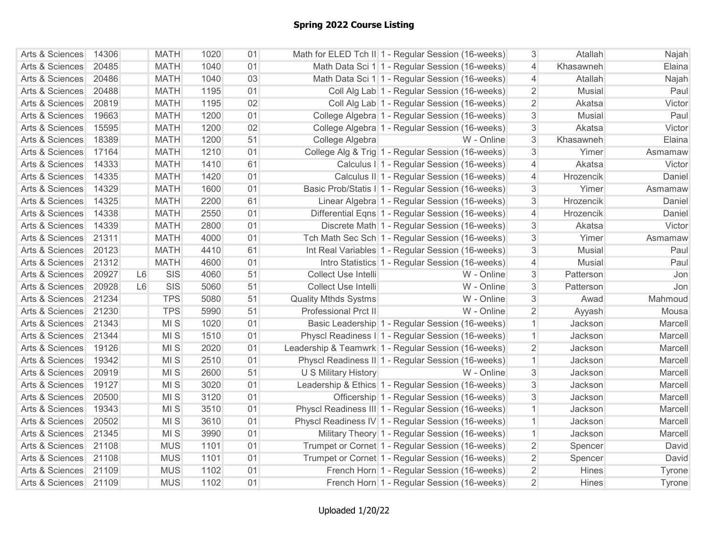| Arts & Sciences | 14306 |                | <b>MATH</b> | 1020 | 01 |                             | Math for ELED Tch II 1 - Regular Session (16-weeks) | $\mathfrak{S}$ | Atallah       | Najah   |
|-----------------|-------|----------------|-------------|------|----|-----------------------------|-----------------------------------------------------|----------------|---------------|---------|
| Arts & Sciences | 20485 |                | <b>MATH</b> | 1040 | 01 |                             | Math Data Sci 1 1 - Regular Session (16-weeks)      | $\overline{4}$ | Khasawneh     | Elaina  |
| Arts & Sciences | 20486 |                | <b>MATH</b> | 1040 | 03 |                             | Math Data Sci 1 1 - Regular Session (16-weeks)      | $\overline{4}$ | Atallah       | Najah   |
| Arts & Sciences | 20488 |                | <b>MATH</b> | 1195 | 01 |                             | Coll Alg Lab 1 - Regular Session (16-weeks)         | $\overline{2}$ | Musial        | Paul    |
| Arts & Sciences | 20819 |                | <b>MATH</b> | 1195 | 02 |                             | Coll Alg Lab   1 - Regular Session (16-weeks)       | $\overline{2}$ | Akatsa        | Victor  |
| Arts & Sciences | 19663 |                | <b>MATH</b> | 1200 | 01 |                             | College Algebra 1 - Regular Session (16-weeks)      | $\mathfrak{S}$ | <b>Musial</b> | Paul    |
| Arts & Sciences | 15595 |                | <b>MATH</b> | 1200 | 02 |                             | College Algebra 1 - Regular Session (16-weeks)      | 3              | Akatsa        | Victor  |
| Arts & Sciences | 18389 |                | <b>MATH</b> | 1200 | 51 | College Algebra             | W - Online                                          | 3              | Khasawneh     | Elaina  |
| Arts & Sciences | 17164 |                | <b>MATH</b> | 1210 | 01 |                             | College Alg & Trig 1 - Regular Session (16-weeks)   | 3              | Yimer         | Asmamaw |
| Arts & Sciences | 14333 |                | <b>MATH</b> | 1410 | 61 |                             | Calculus I 1 - Regular Session (16-weeks)           | 4              | Akatsa        | Victor  |
| Arts & Sciences | 14335 |                | <b>MATH</b> | 1420 | 01 |                             | Calculus II 1 - Regular Session (16-weeks)          | $\overline{4}$ | Hrozencik     | Daniel  |
| Arts & Sciences | 14329 |                | <b>MATH</b> | 1600 | 01 |                             | Basic Prob/Statis I 1 - Regular Session (16-weeks)  | $\mathfrak{S}$ | Yimer         | Asmamaw |
| Arts & Sciences | 14325 |                | <b>MATH</b> | 2200 | 61 |                             | Linear Algebra 1 - Regular Session (16-weeks)       | $\mathfrak{S}$ | Hrozencik     | Daniel  |
| Arts & Sciences | 14338 |                | <b>MATH</b> | 2550 | 01 |                             | Differential Eqns 1 - Regular Session (16-weeks)    | $\overline{4}$ | Hrozencik     | Daniel  |
| Arts & Sciences | 14339 |                | <b>MATH</b> | 2800 | 01 |                             | Discrete Math 1 - Regular Session (16-weeks)        | 3              | Akatsa        | Victor  |
| Arts & Sciences | 21311 |                | <b>MATH</b> | 4000 | 01 |                             | Tch Math Sec Sch 1 - Regular Session (16-weeks)     | 3              | Yimer         | Asmamaw |
| Arts & Sciences | 20123 |                | <b>MATH</b> | 4410 | 61 |                             | Int Real Variables 1 - Regular Session (16-weeks)   | 3              | Musial        | Paul    |
| Arts & Sciences | 21312 |                | <b>MATH</b> | 4600 | 01 |                             | Intro Statistics 1 - Regular Session (16-weeks)     | 4              | <b>Musial</b> | Paul    |
| Arts & Sciences | 20927 | L <sub>6</sub> | SIS         | 4060 | 51 | Collect Use Intelli         | W - Online                                          | $\mathbf{3}$   | Patterson     | Jon     |
| Arts & Sciences | 20928 | L6             | SIS         | 5060 | 51 | Collect Use Intelli         | W - Online                                          | 3              | Patterson     | Jon     |
| Arts & Sciences | 21234 |                | <b>TPS</b>  | 5080 | 51 | <b>Quality Mthds Systms</b> | W - Online                                          | 3              | Awad          | Mahmoud |
| Arts & Sciences | 21230 |                | <b>TPS</b>  | 5990 | 51 | Professional Prct II        | W - Online                                          | $\overline{2}$ | Ayyash        | Mousa   |
| Arts & Sciences | 21343 |                | MI S        | 1020 | 01 |                             | Basic Leadership   1 - Regular Session (16-weeks)   | 1              | Jackson       | Marcell |
| Arts & Sciences | 21344 |                | MI S        | 1510 | 01 |                             | Physcl Readiness I 1 - Regular Session (16-weeks)   | $\mathbf{1}$   | Jackson       | Marcell |
| Arts & Sciences | 19126 |                | MI S        | 2020 | 01 |                             | Leadership & Teamwrk 1 - Regular Session (16-weeks) | $\overline{2}$ | Jackson       | Marcell |
| Arts & Sciences | 19342 |                | MI S        | 2510 | 01 |                             | Physcl Readiness II 1 - Regular Session (16-weeks)  | $\mathbf{1}$   | Jackson       | Marcell |
| Arts & Sciences | 20919 |                | MI S        | 2600 | 51 | U S Military History        | W - Online                                          | 3              | Jackson       | Marcell |
| Arts & Sciences | 19127 |                | MI S        | 3020 | 01 |                             | Leadership & Ethics 1 - Regular Session (16-weeks)  | 3              | Jackson       | Marcell |
| Arts & Sciences | 20500 |                | MI S        | 3120 | 01 |                             | Officership 1 - Regular Session (16-weeks)          | 3              | Jackson       | Marcell |
| Arts & Sciences | 19343 |                | MI S        | 3510 | 01 |                             | Physcl Readiness III 1 - Regular Session (16-weeks) | 1              | Jackson       | Marcell |
| Arts & Sciences | 20502 |                | MI S        | 3610 | 01 |                             | Physcl Readiness IV 1 - Regular Session (16-weeks)  | 1              | Jackson       | Marcell |
| Arts & Sciences | 21345 |                | MI S        | 3990 | 01 |                             | Military Theory 1 - Regular Session (16-weeks)      | 1              | Jackson       | Marcell |
| Arts & Sciences | 21108 |                | <b>MUS</b>  | 1101 | 01 |                             | Trumpet or Cornet 1 - Regular Session (16-weeks)    | $\overline{2}$ | Spencer       | David   |
| Arts & Sciences | 21108 |                | <b>MUS</b>  | 1101 | 01 |                             | Trumpet or Cornet 1 - Regular Session (16-weeks)    | $\overline{2}$ | Spencer       | David   |
| Arts & Sciences | 21109 |                | <b>MUS</b>  | 1102 | 01 |                             | French Horn 1 - Regular Session (16-weeks)          | $\overline{2}$ | Hines         | Tyrone  |
| Arts & Sciences | 21109 |                | <b>MUS</b>  | 1102 | 01 |                             | French Horn 1 - Regular Session (16-weeks)          | $\overline{2}$ | Hines         | Tyrone  |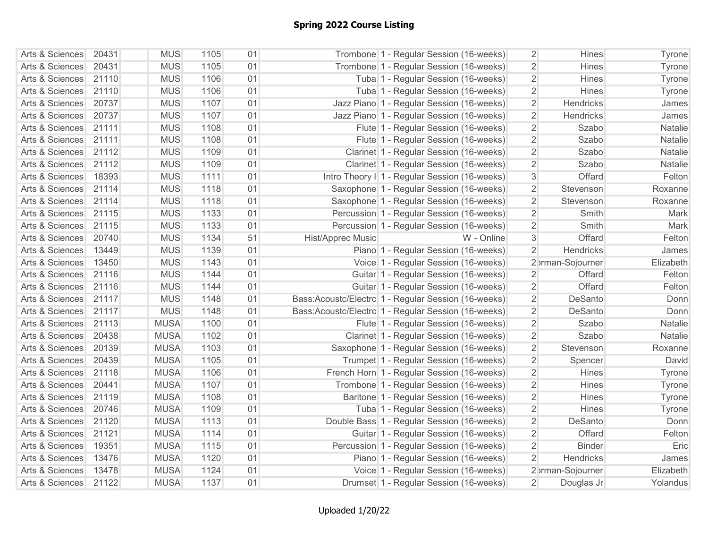| Arts & Sciences | 20431 | <b>MUS</b>  | 1105 | 01 |                   | Trombone 1 - Regular Session (16-weeks)              | $\overline{2}$<br>Hines         | Tyrone    |
|-----------------|-------|-------------|------|----|-------------------|------------------------------------------------------|---------------------------------|-----------|
| Arts & Sciences | 20431 | <b>MUS</b>  | 1105 | 01 |                   | Trombone 1 - Regular Session (16-weeks)              | $\overline{2}$<br>Hines         | Tyrone    |
| Arts & Sciences | 21110 | <b>MUS</b>  | 1106 | 01 |                   | Tuba 1 - Regular Session (16-weeks)                  | $\overline{2}$<br>Hines         | Tyrone    |
| Arts & Sciences | 21110 | <b>MUS</b>  | 1106 | 01 |                   | Tuba 1 - Regular Session (16-weeks)                  | $\overline{2}$<br>Hines         | Tyrone    |
| Arts & Sciences | 20737 | <b>MUS</b>  | 1107 | 01 |                   | Jazz Piano 1 - Regular Session (16-weeks)            | $\overline{2}$<br>Hendricks     | James     |
| Arts & Sciences | 20737 | <b>MUS</b>  | 1107 | 01 |                   | Jazz Piano   1 - Regular Session (16-weeks)          | $\overline{2}$<br>Hendricks     | James     |
| Arts & Sciences | 21111 | <b>MUS</b>  | 1108 | 01 |                   | Flute 1 - Regular Session (16-weeks)                 | $\overline{2}$<br>Szabo         | Natalie   |
| Arts & Sciences | 21111 | <b>MUS</b>  | 1108 | 01 |                   | Flute 1 - Regular Session (16-weeks)                 | $\overline{2}$<br>Szabo         | Natalie   |
| Arts & Sciences | 21112 | <b>MUS</b>  | 1109 | 01 |                   | Clarinet 1 - Regular Session (16-weeks)              | $\overline{2}$<br>Szabo         | Natalie   |
| Arts & Sciences | 21112 | <b>MUS</b>  | 1109 | 01 |                   | Clarinet 1 - Regular Session (16-weeks)              | $\overline{2}$<br>Szabo         | Natalie   |
| Arts & Sciences | 18393 | <b>MUS</b>  | 1111 | 01 |                   | Intro Theory I 1 - Regular Session (16-weeks)        | Offard<br>$\mathfrak{S}$        | Felton    |
| Arts & Sciences | 21114 | <b>MUS</b>  | 1118 | 01 |                   | Saxophone 1 - Regular Session (16-weeks)             | $\overline{2}$<br>Stevenson     | Roxanne   |
| Arts & Sciences | 21114 | <b>MUS</b>  | 1118 | 01 |                   | Saxophone 1 - Regular Session (16-weeks)             | $\overline{2}$<br>Stevenson     | Roxanne   |
| Arts & Sciences | 21115 | <b>MUS</b>  | 1133 | 01 |                   | Percussion 1 - Regular Session (16-weeks)            | $\overline{2}$<br>Smith         | Mark      |
| Arts & Sciences | 21115 | <b>MUS</b>  | 1133 | 01 |                   | Percussion 1 - Regular Session (16-weeks)            | $\overline{2}$<br>Smith         | Mark      |
| Arts & Sciences | 20740 | <b>MUS</b>  | 1134 | 51 | Hist/Apprec Music | W - Online                                           | $\overline{3}$<br>Offard        | Felton    |
| Arts & Sciences | 13449 | <b>MUS</b>  | 1139 | 01 |                   | Piano 1 - Regular Session (16-weeks)                 | $\overline{2}$<br>Hendricks     | James     |
| Arts & Sciences | 13450 | <b>MUS</b>  | 1143 | 01 |                   | Voice 1 - Regular Session (16-weeks)                 | 2 brman-Sojourner               | Elizabeth |
| Arts & Sciences | 21116 | <b>MUS</b>  | 1144 | 01 |                   | Guitar 1 - Regular Session (16-weeks)                | $\overline{2}$<br>Offard        | Felton    |
| Arts & Sciences | 21116 | <b>MUS</b>  | 1144 | 01 |                   | Guitar 1 - Regular Session (16-weeks)                | $\overline{2}$<br>Offard        | Felton    |
| Arts & Sciences | 21117 | <b>MUS</b>  | 1148 | 01 |                   | Bass:Acoustc/Electrc 1 - Regular Session (16-weeks)  | $\overline{2}$<br>DeSanto       | Donn      |
| Arts & Sciences | 21117 | <b>MUS</b>  | 1148 | 01 |                   | Bass: Acoustc/Electrc 1 - Regular Session (16-weeks) | $\overline{2}$<br>DeSanto       | Donn      |
| Arts & Sciences | 21113 | <b>MUSA</b> | 1100 | 01 |                   | Flute 1 - Regular Session (16-weeks)                 | $\overline{2}$<br>Szabo         | Natalie   |
| Arts & Sciences | 20438 | <b>MUSA</b> | 1102 | 01 |                   | Clarinet 1 - Regular Session (16-weeks)              | $\overline{2}$<br>Szabo         | Natalie   |
| Arts & Sciences | 20139 | <b>MUSA</b> | 1103 | 01 |                   | Saxophone 1 - Regular Session (16-weeks)             | $\overline{2}$<br>Stevenson     | Roxanne   |
| Arts & Sciences | 20439 | <b>MUSA</b> | 1105 | 01 |                   | Trumpet 1 - Regular Session (16-weeks)               | $\overline{2}$<br>Spencer       | David     |
| Arts & Sciences | 21118 | <b>MUSA</b> | 1106 | 01 |                   | French Horn 1 - Regular Session (16-weeks)           | $\overline{2}$<br><b>Hines</b>  | Tyrone    |
| Arts & Sciences | 20441 | <b>MUSA</b> | 1107 | 01 |                   | Trombone 1 - Regular Session (16-weeks)              | $\overline{2}$<br>Hines         | Tyrone    |
| Arts & Sciences | 21119 | <b>MUSA</b> | 1108 | 01 |                   | Baritone 1 - Regular Session (16-weeks)              | $\overline{2}$<br>Hines         | Tyrone    |
| Arts & Sciences | 20746 | <b>MUSA</b> | 1109 | 01 |                   | Tuba 1 - Regular Session (16-weeks)                  | $\overline{2}$<br>Hines         | Tyrone    |
| Arts & Sciences | 21120 | <b>MUSA</b> | 1113 | 01 |                   | Double Bass 1 - Regular Session (16-weeks)           | $\overline{2}$<br>DeSanto       | Donn      |
| Arts & Sciences | 21121 | <b>MUSA</b> | 1114 | 01 |                   | Guitar 1 - Regular Session (16-weeks)                | $\overline{2}$<br>Offard        | Felton    |
| Arts & Sciences | 19351 | <b>MUSA</b> | 1115 | 01 |                   | Percussion 1 - Regular Session (16-weeks)            | $\overline{2}$<br><b>Binder</b> | Eric      |
| Arts & Sciences | 13476 | <b>MUSA</b> | 1120 | 01 |                   | Piano 1 - Regular Session (16-weeks)                 | $\overline{2}$<br>Hendricks     | James     |
| Arts & Sciences | 13478 | <b>MUSA</b> | 1124 | 01 |                   | Voice 1 - Regular Session (16-weeks)                 | 2 prman-Sojourner               | Elizabeth |
| Arts & Sciences | 21122 | <b>MUSA</b> | 1137 | 01 |                   | Drumset 1 - Regular Session (16-weeks)               | $\overline{2}$<br>Douglas Jr    | Yolandus  |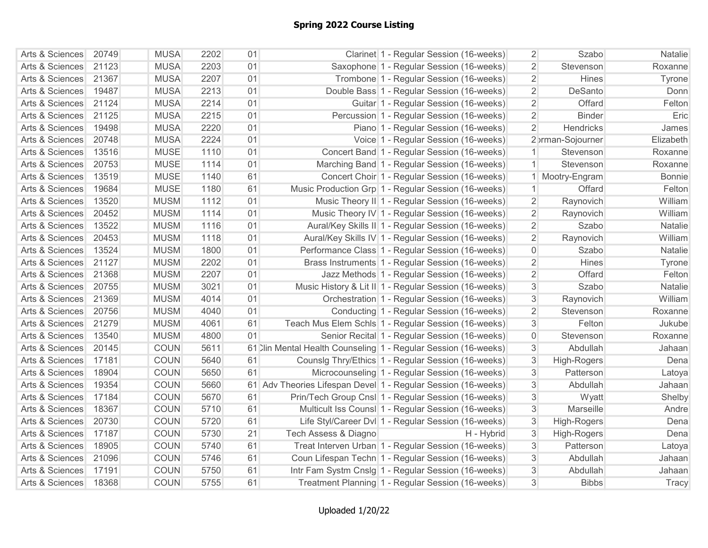| Arts & Sciences | 20749 | <b>MUSA</b> | 2202 | 01 | Clarinet 1 - Regular Session (16-weeks)                         | $\overline{2}$ | Szabo              | Natalie       |
|-----------------|-------|-------------|------|----|-----------------------------------------------------------------|----------------|--------------------|---------------|
| Arts & Sciences | 21123 | <b>MUSA</b> | 2203 | 01 | Saxophone 1 - Regular Session (16-weeks)                        | $\overline{2}$ | Stevenson          | Roxanne       |
| Arts & Sciences | 21367 | <b>MUSA</b> | 2207 | 01 | Trombone 1 - Regular Session (16-weeks)                         | $\overline{2}$ | Hines              | Tyrone        |
| Arts & Sciences | 19487 | <b>MUSA</b> | 2213 | 01 | Double Bass 1 - Regular Session (16-weeks)                      | $\overline{2}$ | DeSanto            | Donn          |
| Arts & Sciences | 21124 | <b>MUSA</b> | 2214 | 01 | Guitar 1 - Regular Session (16-weeks)                           | $\overline{2}$ | Offard             | Felton        |
| Arts & Sciences | 21125 | <b>MUSA</b> | 2215 | 01 | Percussion 1 - Regular Session (16-weeks)                       | $\overline{2}$ | <b>Binder</b>      | Eric          |
| Arts & Sciences | 19498 | <b>MUSA</b> | 2220 | 01 | Piano 1 - Regular Session (16-weeks)                            | $\overline{2}$ | Hendricks          | James         |
| Arts & Sciences | 20748 | <b>MUSA</b> | 2224 | 01 | Voice 1 - Regular Session (16-weeks)                            |                | 2 prman-Sojourner  | Elizabeth     |
| Arts & Sciences | 13516 | <b>MUSE</b> | 1110 | 01 | Concert Band 1 - Regular Session (16-weeks)                     | 1 <sup>1</sup> | Stevenson          | Roxanne       |
| Arts & Sciences | 20753 | <b>MUSE</b> | 1114 | 01 | Marching Band 1 - Regular Session (16-weeks)                    | 1              | Stevenson          | Roxanne       |
| Arts & Sciences | 13519 | <b>MUSE</b> | 1140 | 61 | Concert Choir 1 - Regular Session (16-weeks)                    |                | Mootry-Engram      | <b>Bonnie</b> |
| Arts & Sciences | 19684 | <b>MUSE</b> | 1180 | 61 | Music Production Grp 1 - Regular Session (16-weeks)             | 1              | Offard             | Felton        |
| Arts & Sciences | 13520 | <b>MUSM</b> | 1112 | 01 | Music Theory II 1 - Regular Session (16-weeks)                  | $\overline{2}$ | Raynovich          | William       |
| Arts & Sciences | 20452 | <b>MUSM</b> | 1114 | 01 | Music Theory IV 1 - Regular Session (16-weeks)                  | $\overline{2}$ | Raynovich          | William       |
| Arts & Sciences | 13522 | <b>MUSM</b> | 1116 | 01 | Aural/Key Skills II 1 - Regular Session (16-weeks)              | $\overline{2}$ | Szabo              | Natalie       |
| Arts & Sciences | 20453 | <b>MUSM</b> | 1118 | 01 | Aural/Key Skills IV 1 - Regular Session (16-weeks)              | $\overline{2}$ | Raynovich          | William       |
| Arts & Sciences | 13524 | <b>MUSM</b> | 1800 | 01 | Performance Class 1 - Regular Session (16-weeks)                | $\overline{0}$ | Szabo              | Natalie       |
| Arts & Sciences | 21127 | <b>MUSM</b> | 2202 | 01 | Brass Instruments 1 - Regular Session (16-weeks)                | $\overline{2}$ | Hines              | Tyrone        |
| Arts & Sciences | 21368 | <b>MUSM</b> | 2207 | 01 | Jazz Methods 1 - Regular Session (16-weeks)                     | $\overline{2}$ | Offard             | Felton        |
| Arts & Sciences | 20755 | <b>MUSM</b> | 3021 | 01 | Music History & Lit II 1 - Regular Session (16-weeks)           | $\mathfrak{S}$ | Szabo              | Natalie       |
| Arts & Sciences | 21369 | <b>MUSM</b> | 4014 | 01 | Orchestration 1 - Regular Session (16-weeks)                    | $\mathfrak{S}$ | Raynovich          | William       |
| Arts & Sciences | 20756 | <b>MUSM</b> | 4040 | 01 | Conducting 1 - Regular Session (16-weeks)                       | $\overline{2}$ | Stevenson          | Roxanne       |
| Arts & Sciences | 21279 | <b>MUSM</b> | 4061 | 61 | Teach Mus Elem Schls 1 - Regular Session (16-weeks)             | 3              | Felton             | Jukube        |
| Arts & Sciences | 13540 | <b>MUSM</b> | 4800 | 01 | Senior Recital 1 - Regular Session (16-weeks)                   | $\overline{0}$ | Stevenson          | Roxanne       |
| Arts & Sciences | 20145 | <b>COUN</b> | 5611 |    | 61 Clin Mental Health Counseling 1 - Regular Session (16-weeks) | $\mathfrak{S}$ | Abdullah           | Jahaan        |
| Arts & Sciences | 17181 | <b>COUN</b> | 5640 | 61 | Counsig Thry/Ethics 1 - Regular Session (16-weeks)              | 3              | <b>High-Rogers</b> | Dena          |
| Arts & Sciences | 18904 | <b>COUN</b> | 5650 | 61 | Microcounseling 1 - Regular Session (16-weeks)                  | $\overline{3}$ | Patterson          | Latoya        |
| Arts & Sciences | 19354 | <b>COUN</b> | 5660 |    | 61 Adv Theories Lifespan Devel 1 - Regular Session (16-weeks)   | $\overline{3}$ | Abdullah           | Jahaan        |
| Arts & Sciences | 17184 | <b>COUN</b> | 5670 | 61 | Prin/Tech Group Cnsl 1 - Regular Session (16-weeks)             | $\mathbf{3}$   | Wyatt              | Shelby        |
| Arts & Sciences | 18367 | <b>COUN</b> | 5710 | 61 | Multicult Iss Counsl 1 - Regular Session (16-weeks)             | 3 <sup>1</sup> | Marseille          | Andre         |
| Arts & Sciences | 20730 | <b>COUN</b> | 5720 | 61 | Life Styl/Career Dvl 1 - Regular Session (16-weeks)             | 3              | High-Rogers        | Dena          |
| Arts & Sciences | 17187 | <b>COUN</b> | 5730 | 21 | Tech Assess & Diagno<br>H - Hybrid                              | 3              | <b>High-Rogers</b> | Dena          |
| Arts & Sciences | 18905 | <b>COUN</b> | 5740 | 61 | Treat Interven Urban 1 - Regular Session (16-weeks)             | 3              | Patterson          | Latoya        |
| Arts & Sciences | 21096 | <b>COUN</b> | 5746 | 61 | Coun Lifespan Techn 1 - Regular Session (16-weeks)              | 3              | Abdullah           | Jahaan        |
| Arts & Sciences | 17191 | <b>COUN</b> | 5750 | 61 | Intr Fam Systm Cnslg 1 - Regular Session (16-weeks)             | 3 <sup>1</sup> | Abdullah           | Jahaan        |
| Arts & Sciences | 18368 | <b>COUN</b> | 5755 | 61 | Treatment Planning 1 - Regular Session (16-weeks)               | 3              | <b>Bibbs</b>       | Tracy         |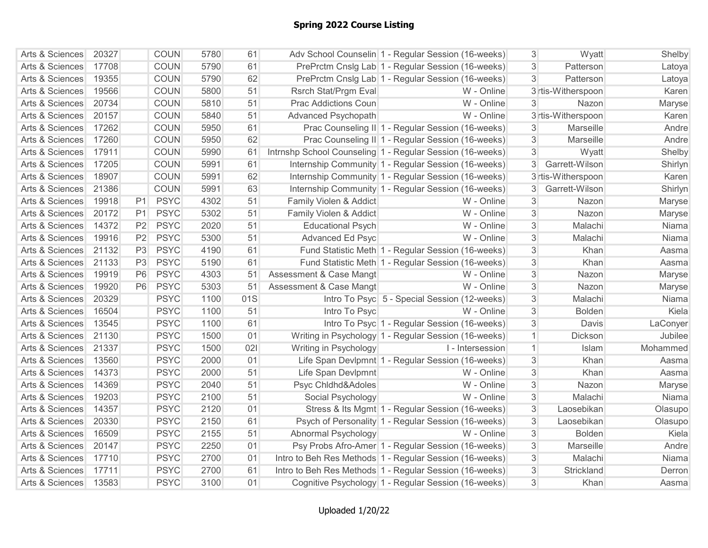| Arts & Sciences            | 20327 |                | <b>COUN</b> | 5780 | 61  |                          | Adv School Counselin 1 - Regular Session (16-weeks)       | 3              | Wyatt              | Shelby   |
|----------------------------|-------|----------------|-------------|------|-----|--------------------------|-----------------------------------------------------------|----------------|--------------------|----------|
| Arts & Sciences            | 17708 |                | COUN        | 5790 | 61  |                          | PrePrctm Cnslg Lab 1 - Regular Session (16-weeks)         | $\overline{3}$ | Patterson          | Latoya   |
| Arts & Sciences            | 19355 |                | <b>COUN</b> | 5790 | 62  |                          | PrePrctm Cnslg Lab 1 - Regular Session (16-weeks)         | $\mathbf{3}$   | Patterson          | Latoya   |
| Arts & Sciences            | 19566 |                | <b>COUN</b> | 5800 | 51  | Rsrch Stat/Prgm Eval     | W - Online                                                |                | 3 rtis-Witherspoon | Karen    |
| Arts & Sciences            | 20734 |                | <b>COUN</b> | 5810 | 51  | Prac Addictions Coun     | W - Online                                                | 3              | Nazon              | Maryse   |
| Arts & Sciences            | 20157 |                | <b>COUN</b> | 5840 | 51  | Advanced Psychopath      | W - Online                                                |                | 3 rtis-Witherspoon | Karen    |
| Arts & Sciences            | 17262 |                | <b>COUN</b> | 5950 | 61  |                          | Prac Counseling II 1 - Regular Session (16-weeks)         | 3              | Marseille          | Andre    |
| Arts & Sciences            | 17260 |                | <b>COUN</b> | 5950 | 62  |                          | Prac Counseling II 1 - Regular Session (16-weeks)         | 3              | Marseille          | Andre    |
| Arts & Sciences            | 17911 |                | <b>COUN</b> | 5990 | 61  |                          | Intrnshp School Counseling 1 - Regular Session (16-weeks) | 3              | Wyatt              | Shelby   |
| Arts & Sciences            | 17205 |                | <b>COUN</b> | 5991 | 61  |                          | Internship Community 1 - Regular Session (16-weeks)       | $\mathcal{S}$  | Garrett-Wilson     | Shirlyn  |
| Arts & Sciences            | 18907 |                | <b>COUN</b> | 5991 | 62  |                          | Internship Community 1 - Regular Session (16-weeks)       |                | 3 rtis-Witherspoon | Karen    |
| Arts & Sciences            | 21386 |                | COUN        | 5991 | 63  |                          | Internship Community 1 - Regular Session (16-weeks)       | 3              | Garrett-Wilson     | Shirlyn  |
| Arts & Sciences            | 19918 | P <sub>1</sub> | <b>PSYC</b> | 4302 | 51  | Family Violen & Addict   | W - Online                                                | 3              | Nazon              | Maryse   |
| Arts & Sciences            | 20172 | P <sub>1</sub> | <b>PSYC</b> | 5302 | 51  | Family Violen & Addict   | W - Online                                                | 3              | Nazon              | Maryse   |
| Arts & Sciences            | 14372 | P <sub>2</sub> | <b>PSYC</b> | 2020 | 51  | <b>Educational Psych</b> | W - Online                                                | 3              | Malachi            | Niama    |
| <b>Arts &amp; Sciences</b> | 19916 | P <sub>2</sub> | <b>PSYC</b> | 5300 | 51  | <b>Advanced Ed Psyc</b>  | W - Online                                                | $\overline{3}$ | Malachi            | Niama    |
| Arts & Sciences            | 21132 | P <sub>3</sub> | <b>PSYC</b> | 4190 | 61  |                          | Fund Statistic Meth 1 - Regular Session (16-weeks)        | $\mathfrak{S}$ | Khan               | Aasma    |
| Arts & Sciences            | 21133 | P <sub>3</sub> | <b>PSYC</b> | 5190 | 61  |                          | Fund Statistic Meth 1 - Regular Session (16-weeks)        | $\mathfrak{S}$ | Khan               | Aasma    |
| Arts & Sciences            | 19919 | <b>P6</b>      | <b>PSYC</b> | 4303 | 51  | Assessment & Case Mangt  | W - Online                                                | 3              | <b>Nazon</b>       | Maryse   |
| Arts & Sciences            | 19920 | P <sub>6</sub> | <b>PSYC</b> | 5303 | 51  | Assessment & Case Mangt  | W - Online                                                | 3              | Nazon              | Maryse   |
| Arts & Sciences            | 20329 |                | <b>PSYC</b> | 1100 | 01S |                          | Intro To Psyc 5 - Special Session (12-weeks)              | 3              | Malachi            | Niama    |
| Arts & Sciences            | 16504 |                | <b>PSYC</b> | 1100 | 51  | Intro To Psyc            | W - Online                                                | $\mathfrak{S}$ | <b>Bolden</b>      | Kiela    |
| Arts & Sciences            | 13545 |                | <b>PSYC</b> | 1100 | 61  |                          | Intro To Psyc 1 - Regular Session (16-weeks)              | $\mathbf{3}$   | Davis              | LaConyer |
| Arts & Sciences            | 21130 |                | <b>PSYC</b> | 1500 | 01  |                          | Writing in Psychology 1 - Regular Session (16-weeks)      | 1              | <b>Dickson</b>     | Jubilee  |
| Arts & Sciences            | 21337 |                | <b>PSYC</b> | 1500 | 021 | Writing in Psychology    | I - Intersession                                          | 1              | Islam              | Mohammed |
| Arts & Sciences            | 13560 |                | <b>PSYC</b> | 2000 | 01  |                          | Life Span Devlpmnt 1 - Regular Session (16-weeks)         | $\mathfrak{S}$ | Khan               | Aasma    |
| Arts & Sciences            | 14373 |                | <b>PSYC</b> | 2000 | 51  | Life Span Devlpmnt       | W - Online                                                | $\mathfrak{S}$ | Khan               | Aasma    |
| Arts & Sciences            | 14369 |                | <b>PSYC</b> | 2040 | 51  | Psyc Chldhd&Adoles       | W - Online                                                | $\overline{3}$ | Nazon              | Maryse   |
| Arts & Sciences            | 19203 |                | <b>PSYC</b> | 2100 | 51  | Social Psychology        | W - Online                                                | $\overline{3}$ | Malachi            | Niama    |
| Arts & Sciences            | 14357 |                | <b>PSYC</b> | 2120 | 01  |                          | Stress & Its Mgmt 1 - Regular Session (16-weeks)          | 3              | Laosebikan         | Olasupo  |
| Arts & Sciences            | 20330 |                | <b>PSYC</b> | 2150 | 61  |                          | Psych of Personality 1 - Regular Session (16-weeks)       | 3              | Laosebikan         | Olasupo  |
| Arts & Sciences            |       |                | <b>PSYC</b> | 2155 | 51  | Abnormal Psychology      | W - Online                                                | $\mathfrak{S}$ | <b>Bolden</b>      | Kiela    |
|                            | 16509 |                |             |      |     |                          |                                                           |                |                    |          |
| Arts & Sciences            | 20147 |                | <b>PSYC</b> | 2250 | 01  |                          | Psy Probs Afro-Amer 1 - Regular Session (16-weeks)        | $\mathfrak{S}$ | Marseille          | Andre    |
| Arts & Sciences            | 17710 |                | <b>PSYC</b> | 2700 | 01  |                          | Intro to Beh Res Methods 1 - Regular Session (16-weeks)   | 3              | Malachi            | Niama    |
| Arts & Sciences            | 17711 |                | <b>PSYC</b> | 2700 | 61  |                          | Intro to Beh Res Methods 1 - Regular Session (16-weeks)   | $\mathbf{3}$   | Strickland         | Derron   |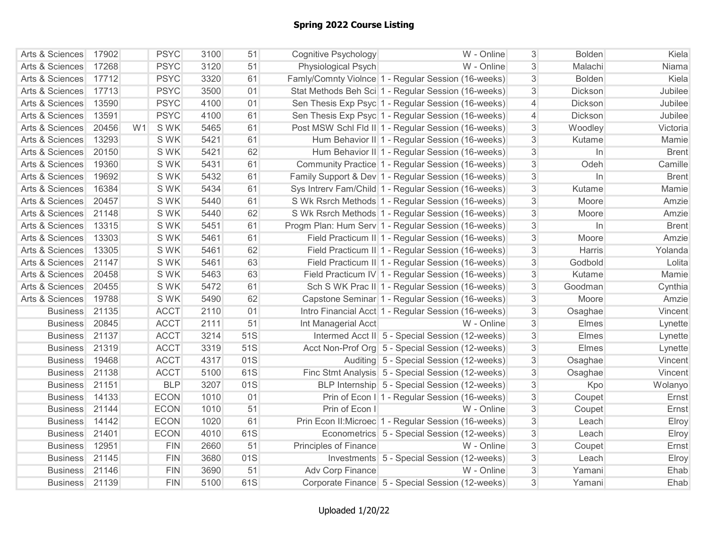| Arts & Sciences | 17902 |                | <b>PSYC</b> | 3100 | 51  | Cognitive Psychology    | W - Online                                           | $\mathbf{3}$   | <b>Bolden</b>  | Kiela        |
|-----------------|-------|----------------|-------------|------|-----|-------------------------|------------------------------------------------------|----------------|----------------|--------------|
| Arts & Sciences | 17268 |                | <b>PSYC</b> | 3120 | 51  | Physiological Psych     | W - Online                                           | $\mathfrak{S}$ | Malachi        | Niama        |
| Arts & Sciences | 17712 |                | <b>PSYC</b> | 3320 | 61  |                         | Famly/Comnty Violnce 1 - Regular Session (16-weeks)  | $\mathfrak{S}$ | <b>Bolden</b>  | Kiela        |
| Arts & Sciences | 17713 |                | <b>PSYC</b> | 3500 | 01  |                         | Stat Methods Beh Sci 1 - Regular Session (16-weeks)  | $\mathbf{3}$   | <b>Dickson</b> | Jubilee      |
| Arts & Sciences | 13590 |                | <b>PSYC</b> | 4100 | 01  |                         | Sen Thesis Exp Psyc 1 - Regular Session (16-weeks)   | $\overline{4}$ | Dickson        | Jubilee      |
| Arts & Sciences | 13591 |                | <b>PSYC</b> | 4100 | 61  |                         | Sen Thesis Exp Psyc 1 - Regular Session (16-weeks)   | $\overline{4}$ | Dickson        | Jubilee      |
| Arts & Sciences | 20456 | W <sub>1</sub> | S WK        | 5465 | 61  |                         | Post MSW Schl Fld II 1 - Regular Session (16-weeks)  | 3              | Woodley        | Victoria     |
| Arts & Sciences | 13293 |                | S WK        | 5421 | 61  |                         | Hum Behavior II 1 - Regular Session (16-weeks)       | $\mathbf{3}$   | Kutame         | Mamie        |
| Arts & Sciences | 20150 |                | S WK        | 5421 | 62  |                         | Hum Behavior II 1 - Regular Session (16-weeks)       | $\mathfrak{S}$ | $\ln$          | <b>Brent</b> |
| Arts & Sciences | 19360 |                | S WK        | 5431 | 61  |                         | Community Practice 1 - Regular Session (16-weeks)    | $\mathfrak{S}$ | Odeh           | Camille      |
| Arts & Sciences | 19692 |                | S WK        | 5432 | 61  |                         | Family Support & Dev 1 - Regular Session (16-weeks)  | $\mathfrak{S}$ | ln             | <b>Brent</b> |
| Arts & Sciences | 16384 |                | S WK        | 5434 | 61  |                         | Sys Intrerv Fam/Child 1 - Regular Session (16-weeks) | $\overline{3}$ | Kutame         | Mamie        |
| Arts & Sciences | 20457 |                | S WK        | 5440 | 61  |                         | S Wk Rsrch Methods 1 - Regular Session (16-weeks)    | $\mathfrak{S}$ | Moore          | Amzie        |
| Arts & Sciences | 21148 |                | S WK        | 5440 | 62  |                         | S Wk Rsrch Methods 1 - Regular Session (16-weeks)    | $\mathfrak{S}$ | Moore          | Amzie        |
| Arts & Sciences | 13315 |                | S WK        | 5451 | 61  |                         | Progm Plan: Hum Serv 1 - Regular Session (16-weeks)  | $\overline{3}$ | In             | <b>Brent</b> |
| Arts & Sciences | 13303 |                | S WK        | 5461 | 61  |                         | Field Practicum II   1 - Regular Session (16-weeks)  | $\overline{3}$ | Moore          | Amzie        |
| Arts & Sciences | 13305 |                | S WK        | 5461 | 62  |                         | Field Practicum II 1 - Regular Session (16-weeks)    | $\mathfrak{S}$ | <b>Harris</b>  | Yolanda      |
| Arts & Sciences | 21147 |                | S WK        | 5461 | 63  |                         | Field Practicum II 1 - Regular Session (16-weeks)    | $\mathfrak{S}$ | Godbold        | Lolita       |
| Arts & Sciences | 20458 |                | S WK        | 5463 | 63  |                         | Field Practicum IV 1 - Regular Session (16-weeks)    | $\mathbf{3}$   | Kutame         | Mamie        |
| Arts & Sciences | 20455 |                | S WK        | 5472 | 61  |                         | Sch S WK Prac II 1 - Regular Session (16-weeks)      | $\overline{3}$ | Goodman        | Cynthia      |
| Arts & Sciences | 19788 |                | S WK        | 5490 | 62  |                         | Capstone Seminar 1 - Regular Session (16-weeks)      | $\mathbf{3}$   | Moore          | Amzie        |
| <b>Business</b> | 21135 |                | <b>ACCT</b> | 2110 | 01  |                         | Intro Financial Acct 1 - Regular Session (16-weeks)  | $\mathbf{3}$   | Osaghae        | Vincent      |
| <b>Business</b> | 20845 |                | <b>ACCT</b> | 2111 | 51  | Int Managerial Acct     | W - Online                                           | $\mathfrak{S}$ | Elmes          | Lynette      |
| <b>Business</b> | 21137 |                | <b>ACCT</b> | 3214 | 51S |                         | Intermed Acct II 5 - Special Session (12-weeks)      | $\mathfrak{S}$ | Elmes          | Lynette      |
| <b>Business</b> | 21319 |                | <b>ACCT</b> | 3319 | 51S |                         | Acct Non-Prof Org 5 - Special Session (12-weeks)     | $\mathfrak{S}$ | <b>Elmes</b>   | Lynette      |
| <b>Business</b> | 19468 |                | <b>ACCT</b> | 4317 | 01S |                         | Auditing 5 - Special Session (12-weeks)              | $\mathfrak{S}$ | Osaghae        | Vincent      |
| <b>Business</b> | 21138 |                | <b>ACCT</b> | 5100 | 61S |                         | Finc Stmt Analysis 5 - Special Session (12-weeks)    | $\mathfrak{S}$ | Osaghae        | Vincent      |
| <b>Business</b> | 21151 |                | <b>BLP</b>  | 3207 | 01S |                         | BLP Internship 5 - Special Session (12-weeks)        | $\overline{3}$ | Kpo            | Wolanyo      |
| <b>Business</b> | 14133 |                | <b>ECON</b> | 1010 | 01  |                         | Prin of Econ I   1 - Regular Session (16-weeks)      | $\mathfrak{S}$ | Coupet         | Ernst        |
| <b>Business</b> | 21144 |                | <b>ECON</b> | 1010 | 51  | Prin of Econ I          | W - Online                                           | $\mathbf{3}$   | Coupet         | Ernst        |
| <b>Business</b> | 14142 |                | <b>ECON</b> | 1020 | 61  |                         | Prin Econ II: Microec 1 - Regular Session (16-weeks) | $\mathfrak{S}$ | Leach          | Elroy        |
| <b>Business</b> | 21401 |                | <b>ECON</b> | 4010 | 61S |                         | Econometrics 5 - Special Session (12-weeks)          | $\mathfrak{S}$ | Leach          | Elroy        |
| <b>Business</b> | 12951 |                | <b>FIN</b>  | 2660 | 51  | Principles of Finance   | W - Online                                           | 3              | Coupet         | Ernst        |
| <b>Business</b> | 21145 |                | <b>FIN</b>  | 3680 | 01S |                         | Investments 5 - Special Session (12-weeks)           | 3              | Leach          | Elroy        |
| <b>Business</b> | 21146 |                | <b>FIN</b>  | 3690 | 51  | <b>Adv Corp Finance</b> | W - Online                                           | $\mathfrak{S}$ | Yamani         | Ehab         |
| <b>Business</b> | 21139 |                | <b>FIN</b>  | 5100 | 61S |                         | Corporate Finance 5 - Special Session (12-weeks)     | $\overline{3}$ | Yamani         | Ehab         |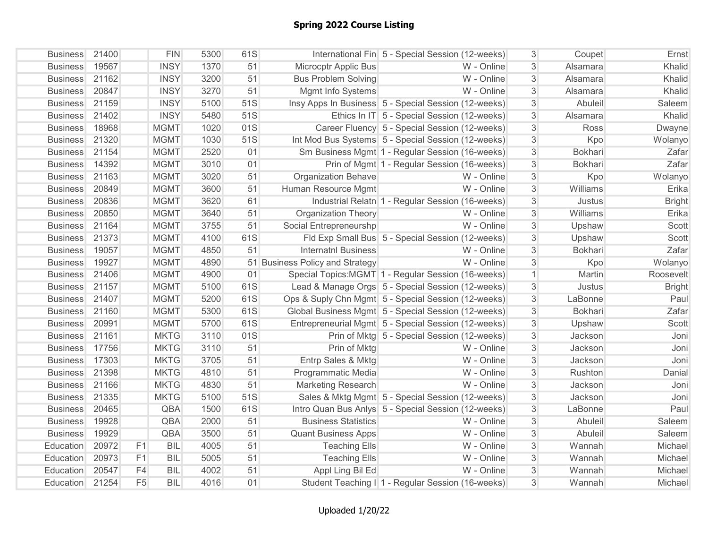| <b>Business</b> | 21400 |                | <b>FIN</b>  | 5300 | 61S |                                 | International Fin 5 - Special Session (12-weeks)      | 3 <sup>1</sup> | Coupet         | Ernst         |
|-----------------|-------|----------------|-------------|------|-----|---------------------------------|-------------------------------------------------------|----------------|----------------|---------------|
| <b>Business</b> | 19567 |                | <b>INSY</b> | 1370 | 51  | Microcptr Applic Bus            | W - Online                                            | $\overline{3}$ | Alsamara       | Khalid        |
| <b>Business</b> | 21162 |                | <b>INSY</b> | 3200 | 51  | <b>Bus Problem Solving</b>      | W - Online                                            | 3 <sup>1</sup> | Alsamara       | Khalid        |
| <b>Business</b> | 20847 |                | <b>INSY</b> | 3270 | 51  | Mgmt Info Systems               | W - Online                                            | 3 <sup>1</sup> | Alsamara       | Khalid        |
| <b>Business</b> | 21159 |                | <b>INSY</b> | 5100 | 51S |                                 | Insy Apps In Business 5 - Special Session (12-weeks)  | 3 <sup>1</sup> | Abuleil        | Saleem        |
| <b>Business</b> | 21402 |                | <b>INSY</b> | 5480 | 51S |                                 | Ethics In IT 5 - Special Session (12-weeks)           | 3 <sup>1</sup> | Alsamara       | Khalid        |
| <b>Business</b> | 18968 |                | <b>MGMT</b> | 1020 | 01S |                                 | Career Fluency 5 - Special Session (12-weeks)         | $\overline{3}$ | Ross           | Dwayne        |
| <b>Business</b> | 21320 |                | <b>MGMT</b> | 1030 | 51S |                                 | Int Mod Bus Systems 5 - Special Session (12-weeks)    | 3 <sup>1</sup> | Kpo            | Wolanyo       |
| <b>Business</b> | 21154 |                | <b>MGMT</b> | 2520 | 01  |                                 | Sm Business Mgmt 1 - Regular Session (16-weeks)       | 3              | Bokhari        | Zafar         |
| <b>Business</b> | 14392 |                | <b>MGMT</b> | 3010 | 01  |                                 | Prin of Mgmt 1 - Regular Session (16-weeks)           | 3 <sup>1</sup> | Bokhari        | Zafar         |
| <b>Business</b> | 21163 |                | <b>MGMT</b> | 3020 | 51  | Organization Behave             | W - Online                                            | 3 <sup>1</sup> | Kpo            | Wolanyo       |
| <b>Business</b> | 20849 |                | <b>MGMT</b> | 3600 | 51  | Human Resource Mgmt             | W - Online                                            | 3 <sup>1</sup> | Williams       | Erika         |
| <b>Business</b> | 20836 |                | <b>MGMT</b> | 3620 | 61  |                                 | Industrial Relatn 1 - Regular Session (16-weeks)      | 3 <sup>1</sup> | Justus         | <b>Bright</b> |
| <b>Business</b> | 20850 |                | <b>MGMT</b> | 3640 | 51  | Organization Theory             | W - Online                                            | 3 <sup>1</sup> | Williams       | Erika         |
| <b>Business</b> | 21164 |                | <b>MGMT</b> | 3755 | 51  | Social Entrepreneurshp          | W - Online                                            | 3 <sup>1</sup> | Upshaw         | Scott         |
| <b>Business</b> | 21373 |                | <b>MGMT</b> | 4100 | 61S |                                 | Fld Exp Small Bus 5 - Special Session (12-weeks)      | $\overline{3}$ | Upshaw         | Scott         |
| <b>Business</b> | 19057 |                | <b>MGMT</b> | 4850 | 51  | <b>Internatnl Business</b>      | W - Online                                            | $\overline{3}$ | <b>Bokhari</b> | Zafar         |
| <b>Business</b> | 19927 |                | <b>MGMT</b> | 4890 |     | 51 Business Policy and Strategy | W - Online                                            | $\overline{3}$ | Kpo            | Wolanyo       |
| <b>Business</b> | 21406 |                | <b>MGMT</b> | 4900 | 01  |                                 | Special Topics: MGMT   1 - Regular Session (16-weeks) | 1              | Martin         | Roosevelt     |
| <b>Business</b> | 21157 |                | <b>MGMT</b> | 5100 | 61S |                                 | Lead & Manage Orgs 5 - Special Session (12-weeks)     | 3 <sup>1</sup> | Justus         | <b>Bright</b> |
| <b>Business</b> | 21407 |                | <b>MGMT</b> | 5200 | 61S |                                 | Ops & Suply Chn Mgmt 5 - Special Session (12-weeks)   | 3 <sup>1</sup> | LaBonne        | Paul          |
| <b>Business</b> | 21160 |                | <b>MGMT</b> | 5300 | 61S |                                 | Global Business Mgmt 5 - Special Session (12-weeks)   | 3 <sup>1</sup> | <b>Bokhari</b> | Zafar         |
| <b>Business</b> | 20991 |                | <b>MGMT</b> | 5700 | 61S |                                 | Entrepreneurial Mgmt 5 - Special Session (12-weeks)   | $\overline{3}$ | Upshaw         | Scott         |
| <b>Business</b> | 21161 |                | <b>MKTG</b> | 3110 | 01S |                                 | Prin of Mktg 5 - Special Session (12-weeks)           | 3 <sup>1</sup> | Jackson        | Joni          |
| <b>Business</b> | 17756 |                | <b>MKTG</b> | 3110 | 51  | Prin of Mktg                    | W - Online                                            | 3 <sup>1</sup> | Jackson        | Joni          |
| <b>Business</b> | 17303 |                | <b>MKTG</b> | 3705 | 51  | Entrp Sales & Mktg              | W - Online                                            | $\overline{3}$ | Jackson        | Joni          |
| <b>Business</b> | 21398 |                | <b>MKTG</b> | 4810 | 51  | Programmatic Media              | W - Online                                            | $\overline{3}$ | Rushton        | Danial        |
| <b>Business</b> | 21166 |                | <b>MKTG</b> | 4830 | 51  | Marketing Research              | W - Online                                            | $\overline{3}$ | Jackson        | Joni          |
| <b>Business</b> | 21335 |                | <b>MKTG</b> | 5100 | 51S |                                 | Sales & Mktg Mgmt 5 - Special Session (12-weeks)      | 3 <sup>1</sup> | Jackson        | Joni          |
| <b>Business</b> | 20465 |                | QBA         | 1500 | 61S |                                 | Intro Quan Bus Anlys 5 - Special Session (12-weeks)   | 3 <sup>1</sup> | LaBonne        | Paul          |
| <b>Business</b> | 19928 |                | QBA         | 2000 | 51  | <b>Business Statistics</b>      | W - Online                                            | 3 <sup>1</sup> | Abuleil        | Saleem        |
| <b>Business</b> | 19929 |                | QBA         | 3500 | 51  | <b>Quant Business Apps</b>      | W - Online                                            | 3 <sup>1</sup> | Abuleil        | Saleem        |
| Education       | 20972 | F1             | <b>BIL</b>  | 4005 | 51  | <b>Teaching Ells</b>            | W - Online                                            | 3 <sup>1</sup> | Wannah         | Michael       |
| Education       | 20973 | F1             | <b>BIL</b>  | 5005 | 51  | <b>Teaching Ells</b>            | W - Online                                            | 3              | Wannah         | Michael       |
| Education       | 20547 | F4             | <b>BIL</b>  | 4002 | 51  | Appl Ling Bil Ed                | W - Online                                            | 3 <sup>1</sup> | Wannah         | Michael       |
| Education       | 21254 | F <sub>5</sub> | <b>BIL</b>  | 4016 | 01  |                                 | Student Teaching I 1 - Regular Session (16-weeks)     | 3 <sup>1</sup> | Wannah         | Michael       |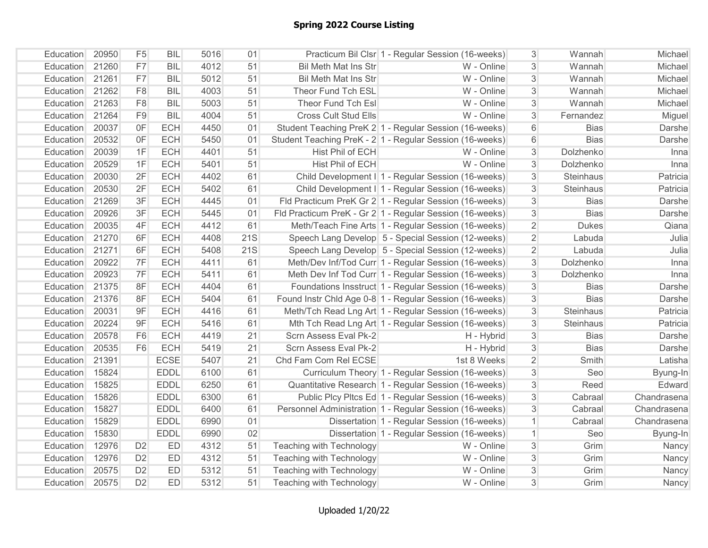| Education | 20950 | F <sub>5</sub> | <b>BIL</b>  | 5016 | 01  |                                 | Practicum Bil Clsr 1 - Regular Session (16-weeks)        | $\mathfrak{S}$ | Wannah           | Michael     |
|-----------|-------|----------------|-------------|------|-----|---------------------------------|----------------------------------------------------------|----------------|------------------|-------------|
| Education | 21260 | F7             | <b>BIL</b>  | 4012 | 51  | <b>Bil Meth Mat Ins Str</b>     | W - Online                                               | $\mathbf{3}$   | Wannah           | Michael     |
| Education | 21261 | F7             | <b>BIL</b>  | 5012 | 51  | <b>Bil Meth Mat Ins Str</b>     | W - Online                                               | $\overline{3}$ | Wannah           | Michael     |
| Education | 21262 | F <sub>8</sub> | <b>BIL</b>  | 4003 | 51  | Theor Fund Tch ESL              | W - Online                                               | $\overline{3}$ | Wannah           | Michael     |
| Education | 21263 | F <sub>8</sub> | <b>BIL</b>  | 5003 | 51  | Theor Fund Tch Esl              | W - Online                                               | 3              | Wannah           | Michael     |
| Education | 21264 | F <sub>9</sub> | <b>BIL</b>  | 4004 | 51  | Cross Cult Stud Ells            | W - Online                                               | 3              | Fernandez        | Miguel      |
| Education | 20037 | 0F             | <b>ECH</b>  | 4450 | 01  |                                 | Student Teaching PreK 2 1 - Regular Session (16-weeks)   | $6 \,$         | <b>Bias</b>      | Darshe      |
| Education | 20532 | 0F             | <b>ECH</b>  | 5450 | 01  |                                 | Student Teaching PreK - 2 1 - Regular Session (16-weeks) | 6              | <b>Bias</b>      | Darshe      |
| Education | 20039 | 1F             | <b>ECH</b>  | 4401 | 51  | Hist Phil of ECH                | W - Online                                               | 3              | Dolzhenko        | Inna        |
| Education | 20529 | 1F             | <b>ECH</b>  | 5401 | 51  | Hist Phil of ECH                | W - Online                                               | 3              | Dolzhenko        | Inna        |
| Education | 20030 | 2F             | <b>ECH</b>  | 4402 | 61  |                                 | Child Development I 1 - Regular Session (16-weeks)       | 3              | Steinhaus        | Patricia    |
| Education | 20530 | 2F             | <b>ECH</b>  | 5402 | 61  |                                 | Child Development I   1 - Regular Session (16-weeks)     | 3              | Steinhaus        | Patricia    |
| Education | 21269 | 3F             | <b>ECH</b>  | 4445 | 01  |                                 | Fld Practicum PreK Gr 2 1 - Regular Session (16-weeks)   | $\mathfrak{S}$ | <b>Bias</b>      | Darshe      |
| Education | 20926 | 3F             | <b>ECH</b>  | 5445 | 01  |                                 | Fld Practicum PreK - Gr 2 1 - Regular Session (16-weeks) | $\overline{3}$ | <b>Bias</b>      | Darshe      |
| Education | 20035 | 4F             | <b>ECH</b>  | 4412 | 61  |                                 | Meth/Teach Fine Arts 1 - Regular Session (16-weeks)      | $\overline{2}$ | <b>Dukes</b>     | Qiana       |
| Education | 21270 | 6F             | <b>ECH</b>  | 4408 | 21S |                                 | Speech Lang Develop 5 - Special Session (12-weeks)       | $\overline{2}$ | Labuda           | Julia       |
| Education | 21271 | 6F             | <b>ECH</b>  | 5408 | 21S |                                 | Speech Lang Develop 5 - Special Session (12-weeks)       | $\overline{2}$ | Labuda           | Julia       |
| Education | 20922 | 7F             | <b>ECH</b>  | 4411 | 61  |                                 | Meth/Dev Inf/Tod Curr 1 - Regular Session (16-weeks)     | $\overline{3}$ | Dolzhenko        | Inna        |
| Education | 20923 | 7F             | <b>ECH</b>  | 5411 | 61  |                                 | Meth Dev Inf Tod Curr 1 - Regular Session (16-weeks)     | $\mathfrak{S}$ | Dolzhenko        | Inna        |
| Education | 21375 | 8F             | <b>ECH</b>  | 4404 | 61  |                                 | Foundations Insstruct 1 - Regular Session (16-weeks)     | $\mathfrak{S}$ | <b>Bias</b>      | Darshe      |
| Education | 21376 | 8F             | <b>ECH</b>  | 5404 | 61  |                                 | Found Instr Chld Age 0-8 1 - Regular Session (16-weeks)  | $\mathfrak{S}$ | <b>Bias</b>      | Darshe      |
| Education | 20031 | 9F             | <b>ECH</b>  | 4416 | 61  |                                 | Meth/Tch Read Lng Art 1 - Regular Session (16-weeks)     | 3              | <b>Steinhaus</b> | Patricia    |
| Education | 20224 | 9F             | <b>ECH</b>  | 5416 | 61  |                                 | Mth Tch Read Lng Art 1 - Regular Session (16-weeks)      | 3              | Steinhaus        | Patricia    |
| Education | 20578 | F <sub>6</sub> | <b>ECH</b>  | 4419 | 21  | Scrn Assess Eval Pk-2           | H - Hybrid                                               | 3              | <b>Bias</b>      | Darshe      |
| Education | 20535 | F <sub>6</sub> | <b>ECH</b>  | 5419 | 21  | Scrn Assess Eval Pk-2           | H - Hybrid                                               | $\mathfrak{S}$ | <b>Bias</b>      | Darshe      |
| Education | 21391 |                | <b>ECSE</b> | 5407 | 21  | Chd Fam Com Rel ECSE            | 1st 8 Weeks                                              | $\overline{2}$ | <b>Smith</b>     | Latisha     |
| Education | 15824 |                | <b>EDDL</b> | 6100 | 61  |                                 | Curriculum Theory 1 - Regular Session (16-weeks)         | $\mathfrak{S}$ | Seo              | Byung-In    |
| Education | 15825 |                | <b>EDDL</b> | 6250 | 61  |                                 | Quantitative Research 1 - Regular Session (16-weeks)     | $\overline{3}$ | Reed             | Edward      |
| Education | 15826 |                | <b>EDDL</b> | 6300 | 61  |                                 | Public Plcy Pltcs Ed 1 - Regular Session (16-weeks)      | $\overline{3}$ | Cabraal          | Chandrasena |
| Education | 15827 |                | <b>EDDL</b> | 6400 | 61  |                                 | Personnel Administration 1 - Regular Session (16-weeks)  | $\mathfrak{S}$ | Cabraal          | Chandrasena |
| Education | 15829 |                | <b>EDDL</b> | 6990 | 01  |                                 | Dissertation 1 - Regular Session (16-weeks)              | $\mathbf{1}$   | Cabraal          | Chandrasena |
| Education | 15830 |                | <b>EDDL</b> | 6990 | 02  |                                 | Dissertation 1 - Regular Session (16-weeks)              | $\mathbf{1}$   | Seo              | Byung-In    |
| Education | 12976 | D <sub>2</sub> | ED          | 4312 | 51  | Teaching with Technology        | W - Online                                               | $\mathfrak{S}$ | Grim             | Nancy       |
| Education | 12976 | D <sub>2</sub> | ED          | 4312 | 51  | <b>Teaching with Technology</b> | W - Online                                               | $\overline{3}$ | Grim             | Nancy       |
| Education | 20575 | D <sub>2</sub> | ED          | 5312 | 51  | Teaching with Technology        | W - Online                                               | $\overline{3}$ | Grim             | Nancy       |
| Education | 20575 | D <sub>2</sub> | ED          | 5312 | 51  | Teaching with Technology        | W - Online                                               | $\overline{3}$ | Grim             | Nancy       |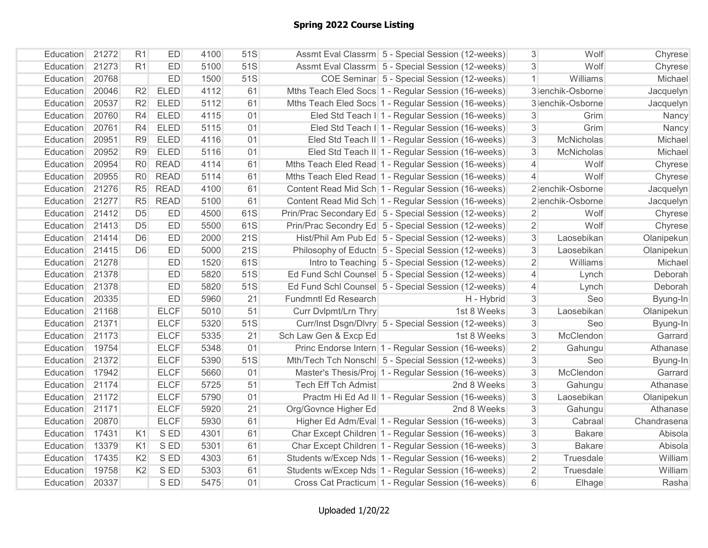| Education | 21272 | R <sub>1</sub> | ED          | 4100 | 51S |                            | Assmt Eval Classrm 5 - Special Session (12-weeks)     | $\mathfrak{S}$ | Wolf              | Chyrese     |
|-----------|-------|----------------|-------------|------|-----|----------------------------|-------------------------------------------------------|----------------|-------------------|-------------|
| Education | 21273 | R <sub>1</sub> | ED          | 5100 | 51S |                            | Assmt Eval Classrm 5 - Special Session (12-weeks)     | $\overline{3}$ | Wolf              | Chyrese     |
| Education | 20768 |                | ED          | 1500 | 51S |                            | COE Seminar 5 - Special Session (12-weeks)            | $\mathbf{1}$   | Williams          | Michael     |
| Education | 20046 | R2             | <b>ELED</b> | 4112 | 61  |                            | Mths Teach Eled Socs 1 - Regular Session (16-weeks)   |                | 3 lenchik-Osborne | Jacquelyn   |
| Education | 20537 | R2             | <b>ELED</b> | 5112 | 61  |                            | Mths Teach Eled Socs 1 - Regular Session (16-weeks)   |                | 3 lenchik-Osborne | Jacquelyn   |
| Education | 20760 | R4             | <b>ELED</b> | 4115 | 01  |                            | Eled Std Teach I   1 - Regular Session (16-weeks)     | 3              | Grim              | Nancy       |
| Education | 20761 | R <sub>4</sub> | <b>ELED</b> | 5115 | 01  |                            | Eled Std Teach I 1 - Regular Session (16-weeks)       | 3              | Grim              | Nancy       |
| Education | 20951 | R <sub>9</sub> | <b>ELED</b> | 4116 | 01  |                            | Eled Std Teach II 1 - Regular Session (16-weeks)      | $\mathbf{3}$   | McNicholas        | Michael     |
| Education | 20952 | R <sub>9</sub> | <b>ELED</b> | 5116 | 01  |                            | Eled Std Teach II 1 - Regular Session (16-weeks)      | 3              | McNicholas        | Michael     |
| Education | 20954 | R <sub>0</sub> | <b>READ</b> | 4114 | 61  |                            | Mths Teach Eled Read 1 - Regular Session (16-weeks)   | $\overline{4}$ | Wolf              | Chyrese     |
| Education | 20955 | R <sub>0</sub> | <b>READ</b> | 5114 | 61  |                            | Mths Teach Eled Read 1 - Regular Session (16-weeks)   | $\overline{4}$ | Wolf              | Chyrese     |
| Education | 21276 | R <sub>5</sub> | <b>READ</b> | 4100 | 61  |                            | Content Read Mid Sch 1 - Regular Session (16-weeks)   |                | 2 lenchik-Osborne | Jacquelyn   |
| Education | 21277 | R <sub>5</sub> | <b>READ</b> | 5100 | 61  |                            | Content Read Mid Sch 1 - Regular Session (16-weeks)   |                | 2 lenchik-Osborne | Jacquelyn   |
| Education | 21412 | D <sub>5</sub> | ED          | 4500 | 61S |                            | Prin/Prac Secondary Ed 5 - Special Session (12-weeks) | $\overline{2}$ | Wolf              | Chyrese     |
| Education | 21413 | D <sub>5</sub> | ED          | 5500 | 61S |                            | Prin/Prac Secondry Ed 5 - Special Session (12-weeks)  | $\overline{2}$ | Wolf              | Chyrese     |
| Education | 21414 | D <sub>6</sub> | ED          | 2000 | 21S |                            | Hist/Phil Am Pub Ed 5 - Special Session (12-weeks)    | $\overline{3}$ | Laosebikan        | Olanipekun  |
| Education | 21415 | D <sub>6</sub> | ED          | 5000 | 21S |                            | Philosophy of Eductn 5 - Special Session (12-weeks)   | 3              | Laosebikan        | Olanipekun  |
| Education | 21278 |                | ED          | 1520 | 61S |                            | Intro to Teaching 5 - Special Session (12-weeks)      | $\overline{2}$ | Williams          | Michael     |
| Education | 21378 |                | ED          | 5820 | 51S |                            | Ed Fund Schl Counsel 5 - Special Session (12-weeks)   | $\overline{4}$ | Lynch             | Deborah     |
| Education | 21378 |                | ED          | 5820 | 51S |                            | Ed Fund Schl Counsel 5 - Special Session (12-weeks)   | $\overline{4}$ | Lynch             | Deborah     |
| Education | 20335 |                | ED          | 5960 | 21  | Fundmntl Ed Research       | H - Hybrid                                            | 3              | Seo               | Byung-In    |
| Education | 21168 |                | <b>ELCF</b> | 5010 | 51  | Curr Dvlpmt/Lrn Thry       | 1st 8 Weeks                                           | $\mathbf{3}$   | Laosebikan        | Olanipekun  |
| Education | 21371 |                | <b>ELCF</b> | 5320 | 51S |                            | Curr/Inst Dsgn/Dlvry 5 - Special Session (12-weeks)   | $\mathfrak{S}$ | Seo               | Byung-In    |
| Education | 21173 |                | <b>ELCF</b> | 5335 | 21  | Sch Law Gen & Excp Ed      | 1st 8 Weeks                                           | $\mathbf{3}$   | McClendon         | Garrard     |
| Education | 19754 |                | <b>ELCF</b> | 5348 | 01  |                            | Princ Endorse Intern 1 - Regular Session (16-weeks)   | $\overline{2}$ | Gahungu           | Athanase    |
| Education | 21372 |                | <b>ELCF</b> | 5390 | 51S |                            | Mth/Tech Tch Nonschl 5 - Special Session (12-weeks)   | $\mathfrak{S}$ | Seo               | Byung-In    |
| Education | 17942 |                | <b>ELCF</b> | 5660 | 01  |                            | Master's Thesis/Proj 1 - Regular Session (16-weeks)   | 3              | McClendon         | Garrard     |
| Education | 21174 |                | <b>ELCF</b> | 5725 | 51  | <b>Tech Eff Tch Admist</b> | 2nd 8 Weeks                                           | 3              | Gahungu           | Athanase    |
| Education | 21172 |                | <b>ELCF</b> | 5790 | 01  |                            | Practm Hi Ed Ad II 1 - Regular Session (16-weeks)     | $\mathfrak{S}$ | Laosebikan        | Olanipekun  |
| Education | 21171 |                | <b>ELCF</b> | 5920 | 21  | Org/Govnce Higher Ed       | 2nd 8 Weeks                                           | $\mathfrak{S}$ | Gahungu           | Athanase    |
| Education | 20870 |                | <b>ELCF</b> | 5930 | 61  |                            | Higher Ed Adm/Eval 1 - Regular Session (16-weeks)     | 3              | Cabraal           | Chandrasena |
| Education | 17431 | K <sub>1</sub> | S ED        | 4301 | 61  |                            | Char Except Children 1 - Regular Session (16-weeks)   | $\mathfrak{S}$ | <b>Bakare</b>     | Abisola     |
| Education | 13379 | K <sub>1</sub> | S ED        | 5301 | 61  |                            | Char Except Children 1 - Regular Session (16-weeks)   | 3              | <b>Bakare</b>     | Abisola     |
| Education | 17435 | K <sub>2</sub> | S ED        | 4303 | 61  |                            | Students w/Excep Nds 1 - Regular Session (16-weeks)   | $\overline{2}$ | Truesdale         | William     |
| Education | 19758 | K2             | S ED        | 5303 | 61  |                            | Students w/Excep Nds 1 - Regular Session (16-weeks)   | $\overline{2}$ | Truesdale         | William     |
| Education | 20337 |                | S ED        | 5475 | 01  |                            | Cross Cat Practicum 1 - Regular Session (16-weeks)    | 6              | Elhage            | Rasha       |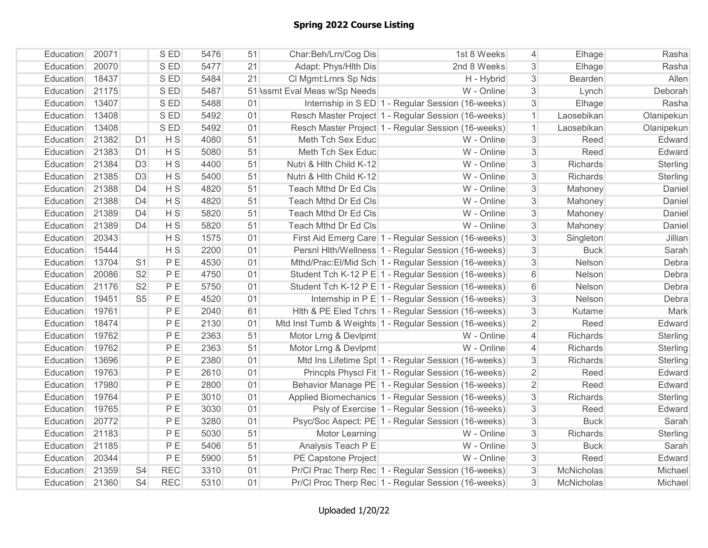| Education | 20071 |                | S ED            | 5476 | 51 | Char:Beh/Lrn/Cog Dis          | 1st 8 Weeks                                            | 4              | Elhage          | Rasha      |
|-----------|-------|----------------|-----------------|------|----|-------------------------------|--------------------------------------------------------|----------------|-----------------|------------|
| Education | 20070 |                | S ED            | 5477 | 21 | Adapt: Phys/Hlth Dis          | 2nd 8 Weeks                                            | 3              | Elhage          | Rasha      |
| Education | 18437 |                | S ED            | 5484 | 21 | CI Mgmt: Lrnrs Sp Nds         | H - Hybrid                                             | $\mathbf{3}$   | <b>Bearden</b>  | Allen      |
| Education | 21175 |                | S ED            | 5487 |    | 51 \ssmt Eval Meas w/Sp Needs | W - Online                                             | $\overline{3}$ | Lynch           | Deborah    |
| Education | 13407 |                | S <sub>ED</sub> | 5488 | 01 |                               | Internship in S ED 1 - Regular Session (16-weeks)      | 3              | Elhage          | Rasha      |
| Education | 13408 |                | S ED            | 5492 | 01 |                               | Resch Master Project 1 - Regular Session (16-weeks)    | $\mathbf{1}$   | Laosebikan      | Olanipekun |
| Education | 13408 |                | S ED            | 5492 | 01 |                               | Resch Master Project 1 - Regular Session (16-weeks)    | $\mathbf{1}$   | Laosebikan      | Olanipekun |
| Education | 21382 | D <sub>1</sub> | H <sub>S</sub>  | 4080 | 51 | Meth Tch Sex Educ             | W - Online                                             | 3              | Reed            | Edward     |
| Education | 21383 | D <sub>1</sub> | H <sub>S</sub>  | 5080 | 51 | Meth Tch Sex Educ             | W - Online                                             | 3              | Reed            | Edward     |
| Education | 21384 | D <sub>3</sub> | H <sub>S</sub>  | 4400 | 51 | Nutri & Hith Child K-12       | W - Online                                             | 3              | Richards        | Sterling   |
| Education | 21385 | D <sub>3</sub> | H <sub>S</sub>  | 5400 | 51 | Nutri & Hith Child K-12       | W - Online                                             | 3              | Richards        | Sterling   |
| Education | 21388 | D <sub>4</sub> | H S             | 4820 | 51 | Teach Mthd Dr Ed Cls          | W - Online                                             | 3              | Mahoney         | Daniel     |
| Education | 21388 | D <sub>4</sub> | H <sub>S</sub>  | 4820 | 51 | Teach Mthd Dr Ed Cls          | W - Online                                             | 3              | Mahoney         | Daniel     |
| Education | 21389 | D <sub>4</sub> | H <sub>S</sub>  | 5820 | 51 | Teach Mthd Dr Ed Cls          | W - Online                                             | 3              | Mahoney         | Daniel     |
| Education | 21389 | D <sub>4</sub> | H <sub>S</sub>  | 5820 | 51 | Teach Mthd Dr Ed Cls          | W - Online                                             | 3              | Mahoney         | Daniel     |
| Education | 20343 |                | H S             | 1575 | 01 |                               | First Aid Emerg Care 1 - Regular Session (16-weeks)    | 3              | Singleton       | Jillian    |
| Education | 15444 |                | H <sub>S</sub>  | 2200 | 01 |                               | Persnl Hith/Wellness 1 - Regular Session (16-weeks)    | 3              | <b>Buck</b>     | Sarah      |
| Education | 13704 | S <sub>1</sub> | PE              | 4530 | 01 |                               | Mthd/Prac: El/Mid Sch   1 - Regular Session (16-weeks) | 3              | Nelson          | Debra      |
| Education | 20086 | S <sub>2</sub> | PE              | 4750 | 01 |                               | Student Tch K-12 P E 1 - Regular Session (16-weeks)    | 6              | Nelson          | Debra      |
| Education | 21176 | S <sub>2</sub> | PE              | 5750 | 01 |                               | Student Tch K-12 P E 1 - Regular Session (16-weeks)    | 6              | Nelson          | Debra      |
| Education | 19451 | S <sub>5</sub> | PE              | 4520 | 01 |                               | Internship in $P \nE   1$ - Regular Session (16-weeks) | 3              | Nelson          | Debra      |
| Education | 19761 |                | PE              | 2040 | 61 |                               | Hlth & PE Eled Tchrs 1 - Regular Session (16-weeks)    | 3              | Kutame          | Mark       |
| Education | 18474 |                | PE              | 2130 | 01 |                               | Mtd Inst Tumb & Weights 1 - Regular Session (16-weeks) | $\overline{2}$ | Reed            | Edward     |
| Education | 19762 |                | PE              | 2363 | 51 | Motor Lrng & Devlpmt          | W - Online                                             | 4              | <b>Richards</b> | Sterling   |
| Education | 19762 |                | PE              | 2363 | 51 | Motor Lrng & Devlpmt          | W - Online                                             | $\overline{4}$ | <b>Richards</b> | Sterling   |
| Education | 13696 |                | PE              | 2380 | 01 |                               | Mtd Ins Lifetime Spt 1 - Regular Session (16-weeks)    | $\mathbf{3}$   | Richards        | Sterling   |
| Education | 19763 |                | PE              | 2610 | 01 |                               | Princpls Physcl Fit 1 - Regular Session (16-weeks)     | $\overline{2}$ | Reed            | Edward     |
| Education | 17980 |                | PE              | 2800 | 01 |                               | Behavior Manage PE 1 - Regular Session (16-weeks)      | $\overline{2}$ | Reed            | Edward     |
| Education | 19764 |                | PE              | 3010 | 01 |                               | Applied Biomechanics 1 - Regular Session (16-weeks)    | $\overline{3}$ | Richards        | Sterling   |
| Education | 19765 |                | PE              | 3030 | 01 |                               | Psly of Exercise 1 - Regular Session (16-weeks)        | $\mathbf{3}$   | Reed            | Edward     |
| Education | 20772 |                | PE              | 3280 | 01 |                               | Psyc/Soc Aspect: PE 1 - Regular Session (16-weeks)     | $\mathbf{3}$   | <b>Buck</b>     | Sarah      |
| Education | 21183 |                | PE              | 5030 | 51 | Motor Learning                | W - Online                                             | 3              | Richards        | Sterling   |
| Education | 21185 |                | PE              | 5406 | 51 | Analysis Teach P E            | W - Online                                             | 3              | <b>Buck</b>     | Sarah      |
| Education | 20344 |                | PE              | 5900 | 51 | PE Capstone Project           | W - Online                                             | 3              | Reed            | Edward     |
| Education | 21359 | S <sub>4</sub> | <b>REC</b>      | 3310 | 01 |                               | Pr/Cl Prac Therp Rec   1 - Regular Session (16-weeks)  | $\mathbf{3}$   | McNicholas      | Michael    |
| Education | 21360 | S <sub>4</sub> | <b>REC</b>      | 5310 | 01 |                               | Pr/Cl Proc Therp Rec 1 - Regular Session (16-weeks)    | 3              | McNicholas      | Michael    |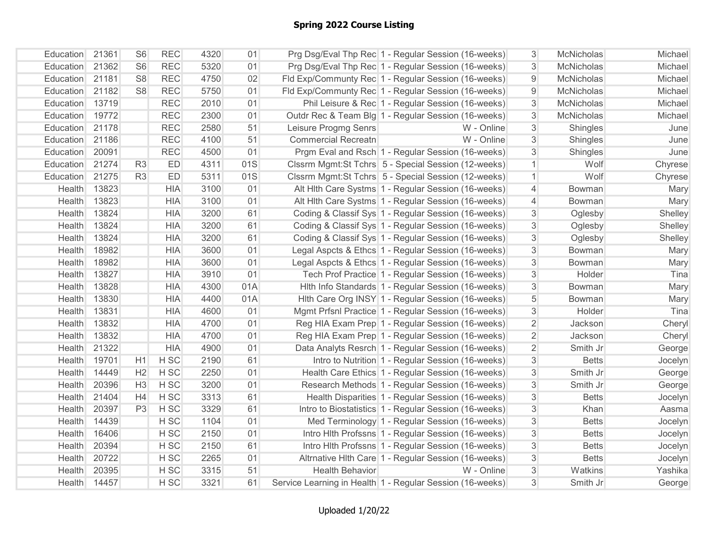| Education     | 21361 | S <sub>6</sub> | <b>REC</b>      | 4320 | 01  |                            | Prg Dsg/Eval Thp Rec 1 - Regular Session (16-weeks)       | 3 <sup>1</sup> | McNicholas    | Michael |
|---------------|-------|----------------|-----------------|------|-----|----------------------------|-----------------------------------------------------------|----------------|---------------|---------|
| Education     | 21362 | S <sub>6</sub> | <b>REC</b>      | 5320 | 01  |                            | Prg Dsg/Eval Thp Rec 1 - Regular Session (16-weeks)       | 3              | McNicholas    | Michael |
| Education     | 21181 | S <sub>8</sub> | <b>REC</b>      | 4750 | 02  |                            | Fld Exp/Communty Rec   1 - Regular Session (16-weeks)     | 9              | McNicholas    | Michael |
| Education     | 21182 | S <sub>8</sub> | <b>REC</b>      | 5750 | 01  |                            | Fld Exp/Communty Rec 1 - Regular Session (16-weeks)       | 9              | McNicholas    | Michael |
| Education     | 13719 |                | <b>REC</b>      | 2010 | 01  |                            | Phil Leisure & Rec 1 - Regular Session (16-weeks)         | 3 <sup>1</sup> | McNicholas    | Michael |
| Education     | 19772 |                | <b>REC</b>      | 2300 | 01  |                            | Outdr Rec & Team Blg 1 - Regular Session (16-weeks)       | 3              | McNicholas    | Michael |
| Education     | 21178 |                | <b>REC</b>      | 2580 | 51  | Leisure Progmg Senrs       | W - Online                                                | 3 <sup>1</sup> | Shingles      | June    |
| Education     | 21186 |                | <b>REC</b>      | 4100 | 51  | <b>Commercial Recreatn</b> | W - Online                                                | 3              | Shingles      | June    |
| Education     | 20091 |                | <b>REC</b>      | 4500 | 01  |                            | Prgm Eval and Rsch 1 - Regular Session (16-weeks)         | 3              | Shingles      | June    |
| Education     | 21274 | R <sub>3</sub> | ED              | 4311 | 01S |                            | Clssrm Mgmt:St Tchrs 5 - Special Session (12-weeks)       | $\vert$        | Wolf          | Chyrese |
| Education     | 21275 | R3             | ED              | 5311 | 01S |                            | Clssrm Mgmt:St Tchrs 5 - Special Session (12-weeks)       | $\mathbf{1}$   | Wolf          | Chyrese |
| <b>Health</b> | 13823 |                | <b>HIA</b>      | 3100 | 01  |                            | Alt Hith Care Systms 1 - Regular Session (16-weeks)       | $\overline{4}$ | <b>Bowman</b> | Mary    |
| Health        | 13823 |                | <b>HIA</b>      | 3100 | 01  |                            | Alt Hith Care Systms 1 - Regular Session (16-weeks)       | $\overline{4}$ | <b>Bowman</b> | Mary    |
| Health        | 13824 |                | <b>HIA</b>      | 3200 | 61  |                            | Coding & Classif Sys 1 - Regular Session (16-weeks)       | 3 <sup>1</sup> | Oglesby       | Shelley |
| Health        | 13824 |                | <b>HIA</b>      | 3200 | 61  |                            | Coding & Classif Sys 1 - Regular Session (16-weeks)       | 3 <sup>1</sup> | Oglesby       | Shelley |
| Health        | 13824 |                | <b>HIA</b>      | 3200 | 61  |                            | Coding & Classif Sys 1 - Regular Session (16-weeks)       | $\overline{3}$ | Oglesby       | Shelley |
| Health        | 18982 |                | <b>HIA</b>      | 3600 | 01  |                            | Legal Aspcts & Ethcs 1 - Regular Session (16-weeks)       | $\overline{3}$ | <b>Bowman</b> | Mary    |
| Health        | 18982 |                | <b>HIA</b>      | 3600 | 01  |                            | Legal Aspcts & Ethcs 1 - Regular Session (16-weeks)       | $\overline{3}$ | <b>Bowman</b> | Mary    |
| Health        | 13827 |                | <b>HIA</b>      | 3910 | 01  |                            | Tech Prof Practice 1 - Regular Session (16-weeks)         | 3 <sup>1</sup> | Holder        | Tina    |
| Health        | 13828 |                | <b>HIA</b>      | 4300 | 01A |                            | Hith Info Standards 1 - Regular Session (16-weeks)        | 3 <sup>1</sup> | <b>Bowman</b> | Mary    |
| Health        | 13830 |                | <b>HIA</b>      | 4400 | 01A |                            | Hith Care Org INSY 1 - Regular Session (16-weeks)         | 5 <sup>5</sup> | <b>Bowman</b> | Mary    |
| Health        | 13831 |                | <b>HIA</b>      | 4600 | 01  |                            | Mgmt Prfsnl Practice 1 - Regular Session (16-weeks)       | 3 <sup>1</sup> | Holder        | Tina    |
| Health        | 13832 |                | <b>HIA</b>      | 4700 | 01  |                            | Reg HIA Exam Prep 1 - Regular Session (16-weeks)          | $\overline{2}$ | Jackson       | Cheryl  |
| Health        | 13832 |                | <b>HIA</b>      | 4700 | 01  |                            | Reg HIA Exam Prep 1 - Regular Session (16-weeks)          | $\overline{2}$ | Jackson       | Cheryl  |
| Health        | 21322 |                | <b>HIA</b>      | 4900 | 01  |                            | Data Analyts Resrch 1 - Regular Session (16-weeks)        | $\overline{2}$ | Smith Jr      | George  |
| Health        | 19701 | H1             | H SC            | 2190 | 61  |                            | Intro to Nutrition 1 - Regular Session (16-weeks)         | $\overline{3}$ | <b>Betts</b>  | Jocelyn |
| Health        | 14449 | H2             | H SC            | 2250 | 01  |                            | Health Care Ethics 1 - Regular Session (16-weeks)         | $\overline{3}$ | Smith Jr      | George  |
| Health        | 20396 | H3             | H SC            | 3200 | 01  |                            | Research Methods 1 - Regular Session (16-weeks)           | $\overline{3}$ | Smith Jr      | George  |
| Health        | 21404 | H4             | H SC            | 3313 | 61  |                            | Health Disparities 1 - Regular Session (16-weeks)         | $\overline{3}$ | <b>Betts</b>  | Jocelyn |
| <b>Health</b> | 20397 | P3             | H <sub>SC</sub> | 3329 | 61  |                            | Intro to Biostatistics 1 - Regular Session (16-weeks)     | $\mathfrak{S}$ | Khan          | Aasma   |
| <b>Health</b> | 14439 |                | H SC            | 1104 | 01  |                            | Med Terminology 1 - Regular Session (16-weeks)            | $\overline{3}$ | <b>Betts</b>  | Jocelyn |
| Health        | 16406 |                | H SC            | 2150 | 01  |                            | Intro Hith Profssns 1 - Regular Session (16-weeks)        | $\overline{3}$ | <b>Betts</b>  | Jocelyn |
| Health        | 20394 |                | H SC            | 2150 | 61  |                            | Intro Hith Profssns 1 - Regular Session (16-weeks)        | 3 <sup>1</sup> | <b>Betts</b>  | Jocelyn |
| Health        | 20722 |                | H SC            | 2265 | 01  |                            | Altrnative Hlth Care 1 - Regular Session (16-weeks)       | 3              | <b>Betts</b>  | Jocelyn |
| Health        | 20395 |                | H SC            | 3315 | 51  | <b>Health Behavior</b>     | W - Online                                                | 3 <sup>1</sup> | Watkins       | Yashika |
| Health        | 14457 |                | H SC            | 3321 | 61  |                            | Service Learning in Health 1 - Regular Session (16-weeks) | 3 <sup>1</sup> | Smith Jr      | George  |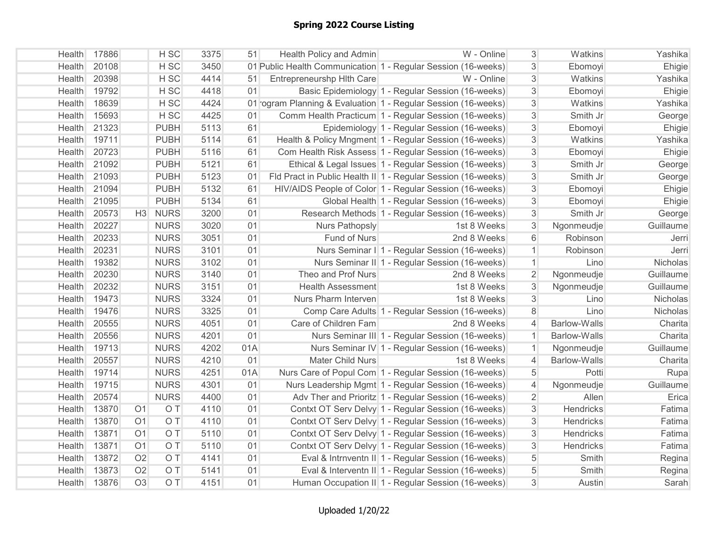| <b>Health</b> | 17886 |                | H SC            | 3375 | 51  | Health Policy and Admin   | W - Online                                                    | 3              | Watkins             | Yashika   |
|---------------|-------|----------------|-----------------|------|-----|---------------------------|---------------------------------------------------------------|----------------|---------------------|-----------|
| <b>Health</b> | 20108 |                | H <sub>SC</sub> | 3450 |     |                           | 01 Public Health Communication 1 - Regular Session (16-weeks) | $\overline{3}$ | Ebomoyi             | Ehigie    |
| <b>Health</b> | 20398 |                | H SC            | 4414 | 51  | Entrepreneurshp Hith Care | W - Online                                                    | $\overline{3}$ | Watkins             | Yashika   |
| Health        | 19792 |                | H SC            | 4418 | 01  |                           | Basic Epidemiology 1 - Regular Session (16-weeks)             | $\mathfrak{S}$ | Ebomoyi             | Ehigie    |
| Health        | 18639 |                | H SC            | 4424 |     |                           | 01 ogram Planning & Evaluation 1 - Regular Session (16-weeks) | $\mathfrak{S}$ | Watkins             | Yashika   |
| <b>Health</b> | 15693 |                | H SC            | 4425 | 01  |                           | Comm Health Practicum 1 - Regular Session (16-weeks)          | $\overline{3}$ | Smith Jr            | George    |
| Health        | 21323 |                | <b>PUBH</b>     | 5113 | 61  |                           | Epidemiology 1 - Regular Session (16-weeks)                   | $\overline{3}$ | Ebomoyi             | Ehigie    |
| Health        | 19711 |                | <b>PUBH</b>     | 5114 | 61  |                           | Health & Policy Mngment 1 - Regular Session (16-weeks)        | $\mathfrak{S}$ | Watkins             | Yashika   |
| <b>Health</b> | 20723 |                | <b>PUBH</b>     | 5116 | 61  |                           | Com Health Risk Assess 1 - Regular Session (16-weeks)         | $\mathbf{3}$   | Ebomoyi             | Ehigie    |
| Health        | 21092 |                | <b>PUBH</b>     | 5121 | 61  |                           | Ethical & Legal Issues 1 - Regular Session (16-weeks)         | $\mathbf{3}$   | Smith Jr            | George    |
| <b>Health</b> | 21093 |                | <b>PUBH</b>     | 5123 | 01  |                           | Fld Pract in Public Health II 1 - Regular Session (16-weeks)  | $\overline{3}$ | Smith Jr            | George    |
| Health        | 21094 |                | <b>PUBH</b>     | 5132 | 61  |                           | HIV/AIDS People of Color 1 - Regular Session (16-weeks)       | 3              | Ebomoyi             | Ehigie    |
| <b>Health</b> | 21095 |                | <b>PUBH</b>     | 5134 | 61  |                           | Global Health 1 - Regular Session (16-weeks)                  | $\overline{3}$ | Ebomoyi             | Ehigie    |
| <b>Health</b> | 20573 | H3             | <b>NURS</b>     | 3200 | 01  |                           | Research Methods 1 - Regular Session (16-weeks)               | $\mathfrak{S}$ | Smith Jr            | George    |
| Health        | 20227 |                | <b>NURS</b>     | 3020 | 01  | Nurs Pathopsly            | 1st 8 Weeks                                                   | $\overline{3}$ | Ngonmeudje          | Guillaume |
| Health        | 20233 |                | <b>NURS</b>     | 3051 | 01  | Fund of Nurs              | 2nd 8 Weeks                                                   | $6\phantom{.}$ | Robinson            | Jerri     |
| Health        | 20231 |                | <b>NURS</b>     | 3101 | 01  |                           | Nurs Seminar I 1 - Regular Session (16-weeks)                 | $\mathbf{1}$   | Robinson            | Jerri     |
| Health        | 19382 |                | <b>NURS</b>     | 3102 | 01  |                           | Nurs Seminar II 1 - Regular Session (16-weeks)                | $\mathbf{1}$   | Lino                | Nicholas  |
| <b>Health</b> | 20230 |                | <b>NURS</b>     | 3140 | 01  | Theo and Prof Nurs        | 2nd 8 Weeks                                                   | $\overline{2}$ | Ngonmeudje          | Guillaume |
| Health        | 20232 |                | <b>NURS</b>     | 3151 | 01  | <b>Health Assessment</b>  | 1st 8 Weeks                                                   | 3              | Ngonmeudje          | Guillaume |
| Health        | 19473 |                | <b>NURS</b>     | 3324 | 01  | Nurs Pharm Interven       | 1st 8 Weeks                                                   | $\mathbf{3}$   | Lino                | Nicholas  |
| Health        | 19476 |                | <b>NURS</b>     | 3325 | 01  |                           | Comp Care Adults 1 - Regular Session (16-weeks)               | 8              | Lino                | Nicholas  |
| Health        | 20555 |                | <b>NURS</b>     | 4051 | 01  | Care of Children Fam      | 2nd 8 Weeks                                                   | $\overline{4}$ | <b>Barlow-Walls</b> | Charita   |
| <b>Health</b> | 20556 |                | <b>NURS</b>     | 4201 | 01  |                           | Nurs Seminar III 1 - Regular Session (16-weeks)               | $\mathbf{1}$   | Barlow-Walls        | Charita   |
| Health        | 19713 |                | <b>NURS</b>     | 4202 | 01A |                           | Nurs Seminar IV 1 - Regular Session (16-weeks)                | $\mathbf{1}$   | Ngonmeudje          | Guillaume |
| Health        | 20557 |                | <b>NURS</b>     | 4210 | 01  | Mater Child Nurs          | 1st 8 Weeks                                                   | $\overline{4}$ | Barlow-Walls        | Charita   |
| Health        | 19714 |                | <b>NURS</b>     | 4251 | 01A |                           | Nurs Care of Popul Com 1 - Regular Session (16-weeks)         | 5              | Potti               | Rupa      |
| Health        | 19715 |                | <b>NURS</b>     | 4301 | 01  |                           | Nurs Leadership Mgmt 1 - Regular Session (16-weeks)           | $\overline{4}$ | Ngonmeudje          | Guillaume |
| <b>Health</b> | 20574 |                | <b>NURS</b>     | 4400 | 01  |                           | Adv Ther and Prioritz 1 - Regular Session (16-weeks)          | $\overline{2}$ | Allen               | Erica     |
| Health        | 13870 | O <sub>1</sub> | O T             | 4110 | 01  |                           | Contxt OT Serv Delvy 1 - Regular Session (16-weeks)           | $\overline{3}$ | Hendricks           | Fatima    |
| Health        | 13870 | O <sub>1</sub> | O T             | 4110 | 01  |                           | Contxt OT Serv Delvy 1 - Regular Session (16-weeks)           | $\mathbf{3}$   | Hendricks           | Fatima    |
| Health        | 13871 | O <sub>1</sub> | O T             | 5110 | 01  |                           | Contxt OT Serv Delvy 1 - Regular Session (16-weeks)           | 3              | <b>Hendricks</b>    | Fatima    |
| Health        | 13871 | O <sub>1</sub> | O T             | 5110 | 01  |                           | Contxt OT Serv Delvy 1 - Regular Session (16-weeks)           | 3              | Hendricks           | Fatima    |
| Health        | 13872 | O <sub>2</sub> | O T             | 4141 | 01  |                           | Eval & Intrnventn II 1 - Regular Session (16-weeks)           | 5              | Smith               | Regina    |
| Health        | 13873 | O <sub>2</sub> | O T             | 5141 | 01  |                           | Eval & Interventn II 1 - Regular Session (16-weeks)           | 5              | Smith               | Regina    |
| <b>Health</b> | 13876 | O <sub>3</sub> | O T             | 4151 | 01  |                           | Human Occupation II 1 - Regular Session (16-weeks)            | $\overline{3}$ | Austin              | Sarah     |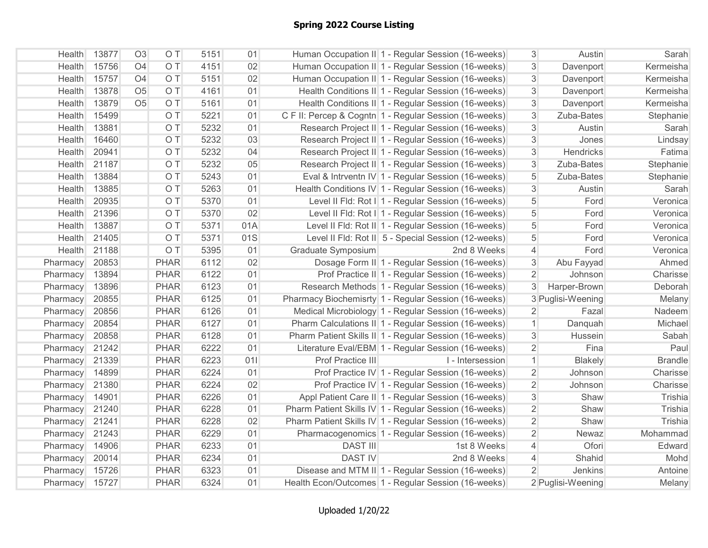| Health   | 13877 | O <sub>3</sub> | O T         | 5151 | 01  |                    | Human Occupation II 1 - Regular Session (16-weeks)     | 3 <sup>1</sup> | Austin            | Sarah          |
|----------|-------|----------------|-------------|------|-----|--------------------|--------------------------------------------------------|----------------|-------------------|----------------|
| Health   | 15756 | O <sub>4</sub> | O T         | 4151 | 02  |                    | Human Occupation II 1 - Regular Session (16-weeks)     | $\overline{3}$ | Davenport         | Kermeisha      |
| Health   | 15757 | O <sub>4</sub> | O T         | 5151 | 02  |                    | Human Occupation II   1 - Regular Session (16-weeks)   | 3 <sup>1</sup> | Davenport         | Kermeisha      |
| Health   | 13878 | O <sub>5</sub> | O T         | 4161 | 01  |                    | Health Conditions II 1 - Regular Session (16-weeks)    | 3 <sup>1</sup> | Davenport         | Kermeisha      |
| Health   | 13879 | O <sub>5</sub> | O T         | 5161 | 01  |                    | Health Conditions II 1 - Regular Session (16-weeks)    | 3 <sup>1</sup> | Davenport         | Kermeisha      |
| Health   | 15499 |                | O T         | 5221 | 01  |                    | C F II: Percep & Cogntn 1 - Regular Session (16-weeks) | 3              | Zuba-Bates        | Stephanie      |
| Health   | 13881 |                | O T         | 5232 | 01  |                    | Research Project II 1 - Regular Session (16-weeks)     | 3              | Austin            | Sarah          |
| Health   | 16460 |                | O T         | 5232 | 03  |                    | Research Project II 1 - Regular Session (16-weeks)     | $\mathfrak{S}$ | Jones             | Lindsay        |
| Health   | 20941 |                | O T         | 5232 | 04  |                    | Research Project II 1 - Regular Session (16-weeks)     | $\mathfrak{S}$ | Hendricks         | Fatima         |
| Health   | 21187 |                | O T         | 5232 | 05  |                    | Research Project II 1 - Regular Session (16-weeks)     | $\mathfrak{S}$ | Zuba-Bates        | Stephanie      |
| Health   | 13884 |                | O T         | 5243 | 01  |                    | Eval & Intrventn IV 1 - Regular Session (16-weeks)     | 5              | Zuba-Bates        | Stephanie      |
| Health   | 13885 |                | O T         | 5263 | 01  |                    | Health Conditions IV 1 - Regular Session (16-weeks)    | 3              | Austin            | Sarah          |
| Health   | 20935 |                | O T         | 5370 | 01  |                    | Level II Fld: Rot I 1 - Regular Session (16-weeks)     | 5              | Ford              | Veronica       |
| Health   | 21396 |                | O T         | 5370 | 02  |                    | Level II Fld: Rot I 1 - Regular Session (16-weeks)     | 5              | Ford              | Veronica       |
| Health   | 13887 |                | O T         | 5371 | 01A |                    | Level II Fld: Rot II 1 - Regular Session (16-weeks)    | 5              | Ford              | Veronica       |
| Health   | 21405 |                | O T         | 5371 | 01S |                    | Level II Fld: Rot II 5 - Special Session (12-weeks)    | 5              | Ford              | Veronica       |
| Health   | 21188 |                | O T         | 5395 | 01  | Graduate Symposium | 2nd 8 Weeks                                            | $\overline{4}$ | Ford              | Veronica       |
| Pharmacy | 20853 |                | <b>PHAR</b> | 6112 | 02  |                    | Dosage Form II 1 - Regular Session (16-weeks)          | 3              | Abu Fayyad        | Ahmed          |
| Pharmacy | 13894 |                | <b>PHAR</b> | 6122 | 01  |                    | Prof Practice II 1 - Regular Session (16-weeks)        | $\overline{2}$ | Johnson           | Charisse       |
| Pharmacy | 13896 |                | <b>PHAR</b> | 6123 | 01  |                    | Research Methods 1 - Regular Session (16-weeks)        |                | Harper-Brown      | Deborah        |
| Pharmacy | 20855 |                | <b>PHAR</b> | 6125 | 01  |                    | Pharmacy Biochemisrty 1 - Regular Session (16-weeks)   |                | 3 Puglisi-Weening | Melany         |
| Pharmacy | 20856 |                | <b>PHAR</b> | 6126 | 01  |                    | Medical Microbiology 1 - Regular Session (16-weeks)    | $\overline{2}$ | Fazal             | Nadeem         |
| Pharmacy | 20854 |                | <b>PHAR</b> | 6127 | 01  |                    | Pharm Calculations II 1 - Regular Session (16-weeks)   | $\mathbf{1}$   | Danquah           | Michael        |
| Pharmacy | 20858 |                | <b>PHAR</b> | 6128 | 01  |                    | Pharm Patient Skills II 1 - Regular Session (16-weeks) | $\overline{3}$ | Hussein           | Sabah          |
| Pharmacy | 21242 |                | <b>PHAR</b> | 6222 | 01  |                    | Literature Eval/EBM 1 - Regular Session (16-weeks)     | $\overline{2}$ | Fina              | Paul           |
| Pharmacy | 21339 |                | <b>PHAR</b> | 6223 | 011 | Prof Practice III  | I - Intersession                                       | $\mathbf{1}$   | <b>Blakely</b>    | <b>Brandle</b> |
| Pharmacy | 14899 |                | <b>PHAR</b> | 6224 | 01  |                    | Prof Practice IV 1 - Regular Session (16-weeks)        | $\overline{2}$ | Johnson           | Charisse       |
| Pharmacy | 21380 |                | <b>PHAR</b> | 6224 | 02  |                    | Prof Practice IV 1 - Regular Session (16-weeks)        | $\overline{2}$ | Johnson           | Charisse       |
| Pharmacy | 14901 |                | <b>PHAR</b> | 6226 | 01  |                    | Appl Patient Care II 1 - Regular Session (16-weeks)    | $\mathfrak{S}$ | Shaw              | Trishia        |
| Pharmacy | 21240 |                | <b>PHAR</b> | 6228 | 01  |                    | Pharm Patient Skills IV 1 - Regular Session (16-weeks) | $\overline{2}$ | Shaw              | Trishia        |
| Pharmacy | 21241 |                | <b>PHAR</b> | 6228 | 02  |                    | Pharm Patient Skills IV 1 - Regular Session (16-weeks) | $\overline{2}$ | Shaw              | Trishia        |
| Pharmacy | 21243 |                | <b>PHAR</b> | 6229 | 01  |                    | Pharmacogenomics 1 - Regular Session (16-weeks)        | $\overline{2}$ | Newaz             | Mohammad       |
| Pharmacy | 14906 |                | <b>PHAR</b> | 6233 | 01  | <b>DAST III</b>    | 1st 8 Weeks                                            | $\overline{4}$ | Ofori             | Edward         |
| Pharmacy | 20014 |                | <b>PHAR</b> | 6234 | 01  | <b>DAST IV</b>     | 2nd 8 Weeks                                            | $\overline{4}$ | Shahid            | Mohd           |
| Pharmacy | 15726 |                | <b>PHAR</b> | 6323 | 01  |                    | Disease and MTM II 1 - Regular Session (16-weeks)      | $\overline{2}$ | Jenkins           | Antoine        |
| Pharmacy | 15727 |                | <b>PHAR</b> | 6324 | 01  |                    | Health Econ/Outcomes 1 - Regular Session (16-weeks)    |                | 2 Puglisi-Weening | Melany         |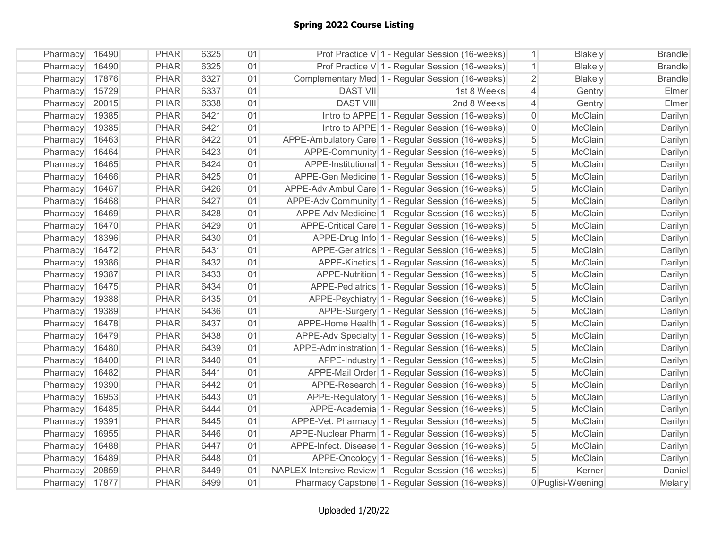| Pharmacy | 16490 | <b>PHAR</b> | 6325 | 01 |                  | Prof Practice V 1 - Regular Session (16-weeks)         | 1              | <b>Blakely</b>    | <b>Brandle</b> |
|----------|-------|-------------|------|----|------------------|--------------------------------------------------------|----------------|-------------------|----------------|
| Pharmacy | 16490 | <b>PHAR</b> | 6325 | 01 |                  | Prof Practice V 1 - Regular Session (16-weeks)         | $\mathbf{1}$   | <b>Blakely</b>    | <b>Brandle</b> |
| Pharmacy | 17876 | <b>PHAR</b> | 6327 | 01 |                  | Complementary Med 1 - Regular Session (16-weeks)       | $\overline{2}$ | <b>Blakely</b>    | <b>Brandle</b> |
| Pharmacy | 15729 | <b>PHAR</b> | 6337 | 01 | <b>DAST VII</b>  | 1st 8 Weeks                                            | 4              | Gentry            | Elmer          |
| Pharmacy | 20015 | <b>PHAR</b> | 6338 | 01 | <b>DAST VIII</b> | 2nd 8 Weeks                                            | 4              | Gentry            | Elmer          |
| Pharmacy | 19385 | <b>PHAR</b> | 6421 | 01 |                  | Intro to APPE 1 - Regular Session (16-weeks)           | 0              | McClain           | Darilyn        |
| Pharmacy | 19385 | <b>PHAR</b> | 6421 | 01 |                  | Intro to APPE 1 - Regular Session (16-weeks)           | $\mathbf 0$    | McClain           | Darilyn        |
| Pharmacy | 16463 | <b>PHAR</b> | 6422 | 01 |                  | APPE-Ambulatory Care   1 - Regular Session (16-weeks)  | 5              | McClain           | Darilyn        |
| Pharmacy | 16464 | <b>PHAR</b> | 6423 | 01 |                  | APPE-Community 1 - Regular Session (16-weeks)          | 5              | McClain           | Darilyn        |
| Pharmacy | 16465 | <b>PHAR</b> | 6424 | 01 |                  | APPE-Institutional 1 - Regular Session (16-weeks)      | 5              | McClain           | Darilyn        |
| Pharmacy | 16466 | <b>PHAR</b> | 6425 | 01 |                  | APPE-Gen Medicine 1 - Regular Session (16-weeks)       | 5              | McClain           | Darilyn        |
| Pharmacy | 16467 | <b>PHAR</b> | 6426 | 01 |                  | APPE-Adv Ambul Care 1 - Regular Session (16-weeks)     | 5              | McClain           | Darilyn        |
| Pharmacy | 16468 | <b>PHAR</b> | 6427 | 01 |                  | APPE-Adv Community 1 - Regular Session (16-weeks)      | 5              | McClain           | Darilyn        |
| Pharmacy | 16469 | <b>PHAR</b> | 6428 | 01 |                  | APPE-Adv Medicine 1 - Regular Session (16-weeks)       | 5              | McClain           | Darilyn        |
| Pharmacy | 16470 | <b>PHAR</b> | 6429 | 01 |                  | APPE-Critical Care 1 - Regular Session (16-weeks)      | 5              | McClain           | Darilyn        |
| Pharmacy | 18396 | <b>PHAR</b> | 6430 | 01 |                  | APPE-Drug Info 1 - Regular Session (16-weeks)          | 5              | McClain           | Darilyn        |
| Pharmacy | 16472 | <b>PHAR</b> | 6431 | 01 |                  | APPE-Geriatrics 1 - Regular Session (16-weeks)         | 5              | McClain           | Darilyn        |
| Pharmacy | 19386 | <b>PHAR</b> | 6432 | 01 |                  | APPE-Kinetics 1 - Regular Session (16-weeks)           | 5              | McClain           | Darilyn        |
| Pharmacy | 19387 | <b>PHAR</b> | 6433 | 01 |                  | APPE-Nutrition 1 - Regular Session (16-weeks)          | 5              | McClain           | Darilyn        |
| Pharmacy | 16475 | <b>PHAR</b> | 6434 | 01 |                  | APPE-Pediatrics 1 - Regular Session (16-weeks)         | 5              | McClain           | Darilyn        |
| Pharmacy | 19388 | <b>PHAR</b> | 6435 | 01 |                  | APPE-Psychiatry 1 - Regular Session (16-weeks)         | 5              | McClain           | Darilyn        |
| Pharmacy | 19389 | <b>PHAR</b> | 6436 | 01 |                  | APPE-Surgery 1 - Regular Session (16-weeks)            | 5              | McClain           | Darilyn        |
| Pharmacy | 16478 | <b>PHAR</b> | 6437 | 01 |                  | APPE-Home Health 1 - Regular Session (16-weeks)        | 5              | McClain           | Darilyn        |
| Pharmacy | 16479 | <b>PHAR</b> | 6438 | 01 |                  | APPE-Adv Specialty 1 - Regular Session (16-weeks)      | 5              | McClain           | Darilyn        |
| Pharmacy | 16480 | <b>PHAR</b> | 6439 | 01 |                  | APPE-Administration 1 - Regular Session (16-weeks)     | 5              | McClain           | Darilyn        |
| Pharmacy | 18400 | <b>PHAR</b> | 6440 | 01 |                  | APPE-Industry 1 - Regular Session (16-weeks)           | 5              | McClain           | Darilyn        |
| Pharmacy | 16482 | <b>PHAR</b> | 6441 | 01 |                  | APPE-Mail Order 1 - Regular Session (16-weeks)         | 5              | McClain           | Darilyn        |
| Pharmacy | 19390 | <b>PHAR</b> | 6442 | 01 |                  | APPE-Research 1 - Regular Session (16-weeks)           | 5              | McClain           | Darilyn        |
| Pharmacy | 16953 | <b>PHAR</b> | 6443 | 01 |                  | APPE-Regulatory 1 - Regular Session (16-weeks)         | 5              | McClain           | Darilyn        |
| Pharmacy | 16485 | <b>PHAR</b> | 6444 | 01 |                  | APPE-Academia 1 - Regular Session (16-weeks)           | 5              | McClain           | Darilyn        |
| Pharmacy | 19391 | <b>PHAR</b> | 6445 | 01 |                  | APPE-Vet. Pharmacy 1 - Regular Session (16-weeks)      | 5              | McClain           | Darilyn        |
| Pharmacy | 16955 | <b>PHAR</b> | 6446 | 01 |                  | APPE-Nuclear Pharm 1 - Regular Session (16-weeks)      | 5              | McClain           | Darilyn        |
| Pharmacy | 16488 | <b>PHAR</b> | 6447 | 01 |                  | APPE-Infect. Disease 1 - Regular Session (16-weeks)    | 5              | McClain           | Darilyn        |
| Pharmacy | 16489 | <b>PHAR</b> | 6448 | 01 |                  | APPE-Oncology 1 - Regular Session (16-weeks)           | $\sqrt{5}$     | McClain           | Darilyn        |
| Pharmacy | 20859 | <b>PHAR</b> | 6449 | 01 |                  | NAPLEX Intensive Review 1 - Regular Session (16-weeks) | 5              | Kerner            | Daniel         |
| Pharmacy | 17877 | <b>PHAR</b> | 6499 | 01 |                  | Pharmacy Capstone 1 - Regular Session (16-weeks)       |                | 0 Puglisi-Weening | Melany         |